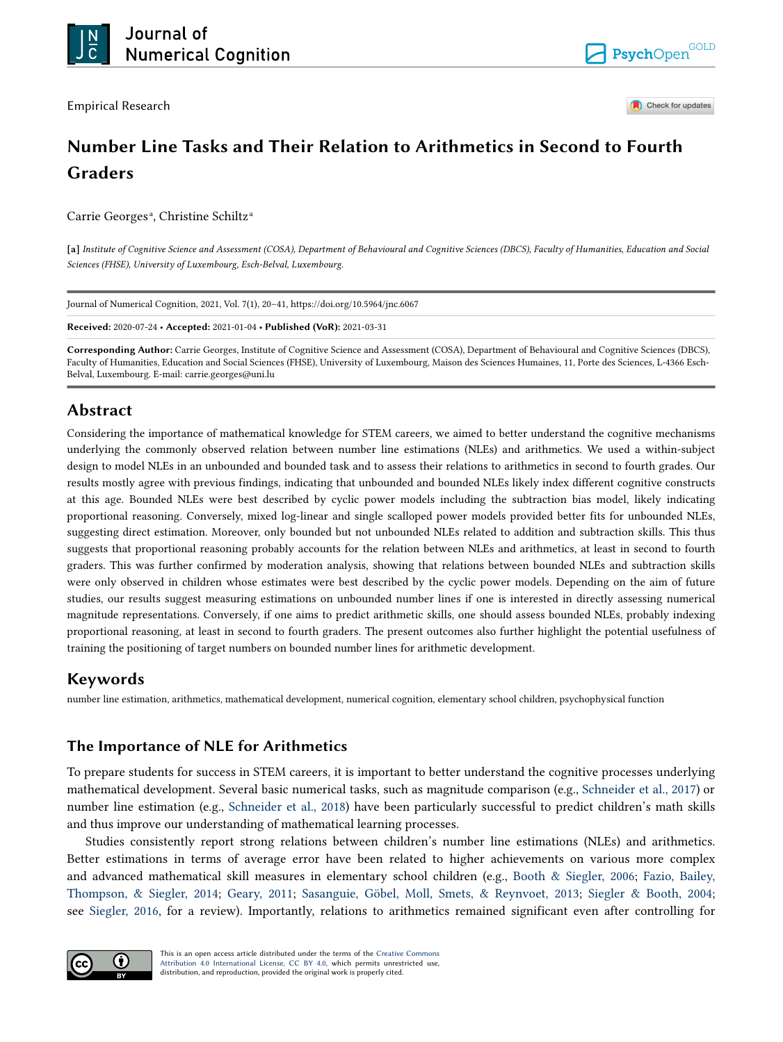Empirical Research



Check for updates

# **Number Line Tasks and Their Relation to Arithmetics in Second to Fourth Graders**

Carrie Georges<sup>a</sup>, Christine Schiltz<sup>a</sup>

**[a]** *Institute of Cognitive Science and Assessment (COSA), Department of Behavioural and Cognitive Sciences (DBCS), Faculty of Humanities, Education and Social Sciences (FHSE), University of Luxembourg, Esch-Belval, Luxembourg.* 

Journal of Numerical Cognition, 2021, Vol. 7(1), 20–41, https://doi.org/10.5964/jnc.6067

**Received:** 2020-07-24 • **Accepted:** 2021-01-04 • **Published (VoR):** 2021-03-31

**Corresponding Author:** Carrie Georges, Institute of Cognitive Science and Assessment (COSA), Department of Behavioural and Cognitive Sciences (DBCS), Faculty of Humanities, Education and Social Sciences (FHSE), University of Luxembourg, Maison des Sciences Humaines, 11, Porte des Sciences, L-4366 Esch-Belval, Luxembourg. E-mail: carrie.georges@uni.lu

# **Abstract**

Considering the importance of mathematical knowledge for STEM careers, we aimed to better understand the cognitive mechanisms underlying the commonly observed relation between number line estimations (NLEs) and arithmetics. We used a within-subject design to model NLEs in an unbounded and bounded task and to assess their relations to arithmetics in second to fourth grades. Our results mostly agree with previous findings, indicating that unbounded and bounded NLEs likely index different cognitive constructs at this age. Bounded NLEs were best described by cyclic power models including the subtraction bias model, likely indicating proportional reasoning. Conversely, mixed log-linear and single scalloped power models provided better fits for unbounded NLEs, suggesting direct estimation. Moreover, only bounded but not unbounded NLEs related to addition and subtraction skills. This thus suggests that proportional reasoning probably accounts for the relation between NLEs and arithmetics, at least in second to fourth graders. This was further confirmed by moderation analysis, showing that relations between bounded NLEs and subtraction skills were only observed in children whose estimates were best described by the cyclic power models. Depending on the aim of future studies, our results suggest measuring estimations on unbounded number lines if one is interested in directly assessing numerical magnitude representations. Conversely, if one aims to predict arithmetic skills, one should assess bounded NLEs, probably indexing proportional reasoning, at least in second to fourth graders. The present outcomes also further highlight the potential usefulness of training the positioning of target numbers on bounded number lines for arithmetic development.

# **Keywords**

number line estimation, arithmetics, mathematical development, numerical cognition, elementary school children, psychophysical function

# **The Importance of NLE for Arithmetics**

To prepare students for success in STEM careers, it is important to better understand the cognitive processes underlying mathematical development. Several basic numerical tasks, such as magnitude comparison (e.g., [Schneider et al., 2017\)](#page-20-0) or number line estimation (e.g., [Schneider et al., 2018\)](#page-21-0) have been particularly successful to predict children's math skills and thus improve our understanding of mathematical learning processes.

Studies consistently report strong relations between children's number line estimations (NLEs) and arithmetics. Better estimations in terms of average error have been related to higher achievements on various more complex and advanced mathematical skill measures in elementary school children (e.g., [Booth & Siegler, 2006;](#page-18-0) [Fazio, Bailey,](#page-19-0) [Thompson, & Siegler, 2014](#page-19-0); [Geary, 2011;](#page-19-0) [Sasanguie, Göbel, Moll, Smets, & Reynvoet, 2013;](#page-20-0) [Siegler & Booth, 2004;](#page-21-0) see [Siegler, 2016,](#page-21-0) for a review). Importantly, relations to arithmetics remained significant even after controlling for

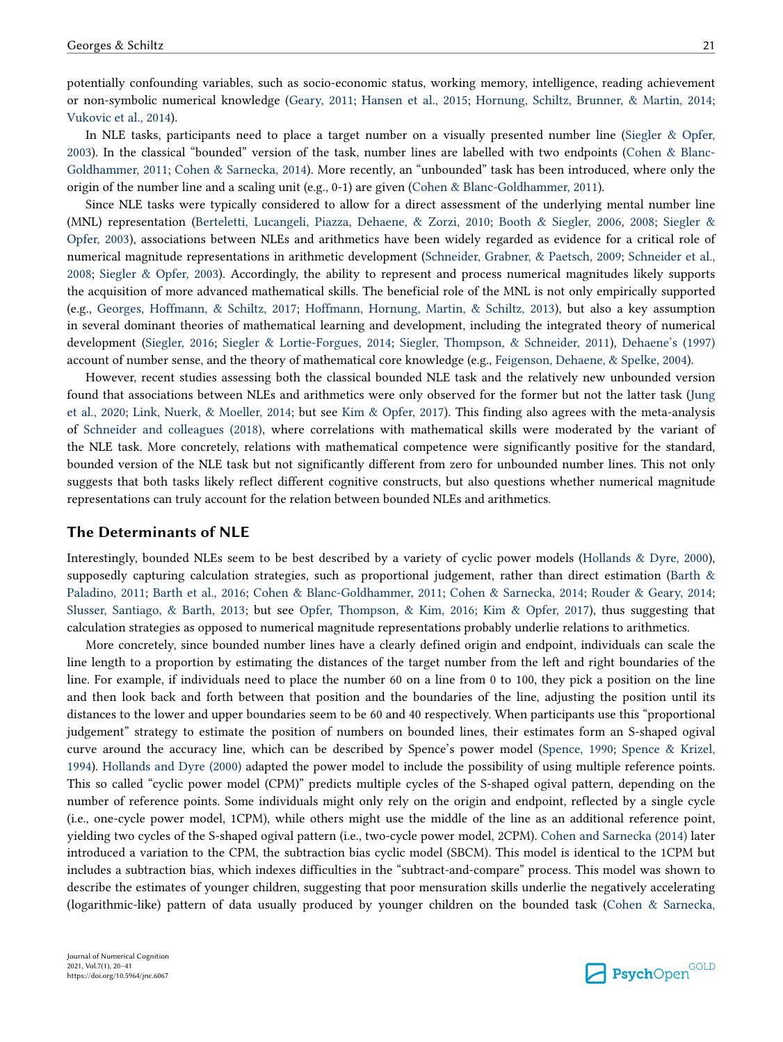potentially confounding variables, such as socio-economic status, working memory, intelligence, reading achievement or non-symbolic numerical knowledge ([Geary, 2011](#page-19-0); [Hansen et al., 2015;](#page-19-0) [Hornung, Schiltz, Brunner, & Martin, 2014;](#page-20-0) [Vukovic et al., 2014](#page-21-0)).

In NLE tasks, participants need to place a target number on a visually presented number line ([Siegler & Opfer,](#page-21-0) [2003\)](#page-21-0). In the classical "bounded" version of the task, number lines are labelled with two endpoints ([Cohen & Blanc-](#page-19-0)[Goldhammer, 2011;](#page-19-0) [Cohen & Sarnecka, 2014](#page-19-0)). More recently, an "unbounded" task has been introduced, where only the origin of the number line and a scaling unit (e.g., 0-1) are given ([Cohen & Blanc-Goldhammer, 2011\)](#page-19-0).

Since NLE tasks were typically considered to allow for a direct assessment of the underlying mental number line (MNL) representation ([Berteletti, Lucangeli, Piazza, Dehaene, & Zorzi, 2010;](#page-18-0) [Booth & Siegler, 2006,](#page-18-0) [2008](#page-18-0); [Siegler &](#page-21-0) [Opfer, 2003](#page-21-0)), associations between NLEs and arithmetics have been widely regarded as evidence for a critical role of numerical magnitude representations in arithmetic development ([Schneider, Grabner, & Paetsch, 2009;](#page-20-0) [Schneider et al.,](#page-21-0) [2008;](#page-21-0) [Siegler & Opfer, 2003](#page-21-0)). Accordingly, the ability to represent and process numerical magnitudes likely supports the acquisition of more advanced mathematical skills. The beneficial role of the MNL is not only empirically supported (e.g., [Georges, Hoffmann, & Schiltz, 2017;](#page-19-0) [Hoffmann, Hornung, Martin, & Schiltz, 2013](#page-19-0)), but also a key assumption in several dominant theories of mathematical learning and development, including the integrated theory of numerical development ([Siegler, 2016](#page-21-0); [Siegler & Lortie-Forgues, 2014;](#page-21-0) [Siegler, Thompson, & Schneider, 2011](#page-21-0)), [Dehaene's \(1997\)](#page-19-0) account of number sense, and the theory of mathematical core knowledge (e.g., [Feigenson, Dehaene, & Spelke, 2004\)](#page-19-0).

However, recent studies assessing both the classical bounded NLE task and the relatively new unbounded version found that associations between NLEs and arithmetics were only observed for the former but not the latter task [\(Jung](#page-20-0) [et al., 2020](#page-20-0); [Link, Nuerk, & Moeller, 2014;](#page-20-0) but see [Kim & Opfer, 2017\)](#page-20-0). This finding also agrees with the meta-analysis of [Schneider and colleagues \(2018\),](#page-21-0) where correlations with mathematical skills were moderated by the variant of the NLE task. More concretely, relations with mathematical competence were significantly positive for the standard, bounded version of the NLE task but not significantly different from zero for unbounded number lines. This not only suggests that both tasks likely reflect different cognitive constructs, but also questions whether numerical magnitude representations can truly account for the relation between bounded NLEs and arithmetics.

### **The Determinants of NLE**

Interestingly, bounded NLEs seem to be best described by a variety of cyclic power models [\(Hollands & Dyre, 2000](#page-20-0)), supposedly capturing calculation strategies, such as proportional judgement, rather than direct estimation [\(Barth &](#page-18-0) [Paladino, 2011;](#page-18-0) [Barth et al., 2016](#page-18-0); [Cohen & Blanc-Goldhammer, 2011;](#page-19-0) [Cohen & Sarnecka, 2014](#page-19-0); [Rouder & Geary, 2014;](#page-20-0) [Slusser, Santiago, & Barth, 2013;](#page-21-0) but see [Opfer, Thompson, & Kim, 2016](#page-20-0); [Kim & Opfer, 2017](#page-20-0)), thus suggesting that calculation strategies as opposed to numerical magnitude representations probably underlie relations to arithmetics.

More concretely, since bounded number lines have a clearly defined origin and endpoint, individuals can scale the line length to a proportion by estimating the distances of the target number from the left and right boundaries of the line. For example, if individuals need to place the number 60 on a line from 0 to 100, they pick a position on the line and then look back and forth between that position and the boundaries of the line, adjusting the position until its distances to the lower and upper boundaries seem to be 60 and 40 respectively. When participants use this "proportional judgement" strategy to estimate the position of numbers on bounded lines, their estimates form an S-shaped ogival curve around the accuracy line, which can be described by Spence's power model ([Spence, 1990;](#page-21-0) [Spence & Krizel,](#page-21-0) [1994\)](#page-21-0). [Hollands and Dyre \(2000\)](#page-20-0) adapted the power model to include the possibility of using multiple reference points. This so called "cyclic power model (CPM)" predicts multiple cycles of the S-shaped ogival pattern, depending on the number of reference points. Some individuals might only rely on the origin and endpoint, reflected by a single cycle (i.e., one-cycle power model, 1CPM), while others might use the middle of the line as an additional reference point, yielding two cycles of the S-shaped ogival pattern (i.e., two-cycle power model, 2CPM). [Cohen and Sarnecka \(2014\)](#page-19-0) later introduced a variation to the CPM, the subtraction bias cyclic model (SBCM). This model is identical to the 1CPM but includes a subtraction bias, which indexes difficulties in the "subtract-and-compare" process. This model was shown to describe the estimates of younger children, suggesting that poor mensuration skills underlie the negatively accelerating (logarithmic-like) pattern of data usually produced by younger children on the bounded task ([Cohen & Sarnecka,](#page-19-0)

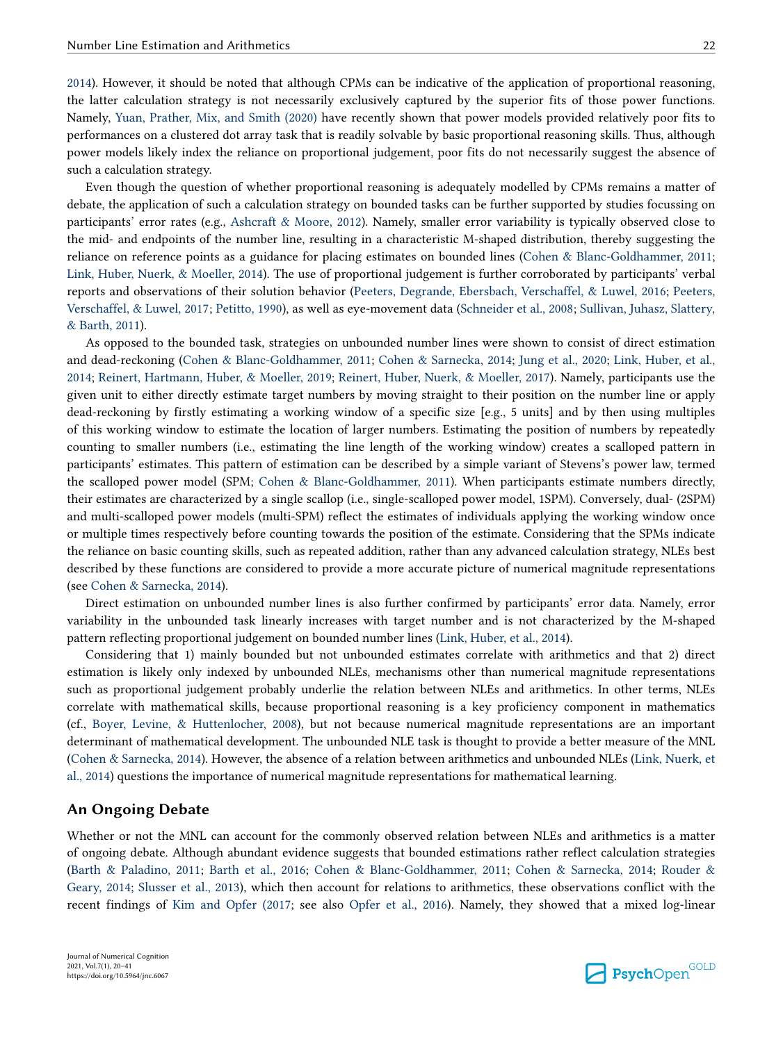[2014\)](#page-19-0). However, it should be noted that although CPMs can be indicative of the application of proportional reasoning, the latter calculation strategy is not necessarily exclusively captured by the superior fits of those power functions. Namely, [Yuan, Prather, Mix, and Smith \(2020\)](#page-21-0) have recently shown that power models provided relatively poor fits to performances on a clustered dot array task that is readily solvable by basic proportional reasoning skills. Thus, although power models likely index the reliance on proportional judgement, poor fits do not necessarily suggest the absence of such a calculation strategy.

Even though the question of whether proportional reasoning is adequately modelled by CPMs remains a matter of debate, the application of such a calculation strategy on bounded tasks can be further supported by studies focussing on participants' error rates (e.g., [Ashcraft & Moore, 2012](#page-18-0)). Namely, smaller error variability is typically observed close to the mid- and endpoints of the number line, resulting in a characteristic M-shaped distribution, thereby suggesting the reliance on reference points as a guidance for placing estimates on bounded lines [\(Cohen & Blanc-Goldhammer, 2011;](#page-19-0) [Link, Huber, Nuerk, & Moeller, 2014](#page-20-0)). The use of proportional judgement is further corroborated by participants' verbal reports and observations of their solution behavior [\(Peeters, Degrande, Ebersbach, Verschaffel, & Luwel, 2016;](#page-20-0) [Peeters,](#page-20-0) [Verschaffel, & Luwel, 2017](#page-20-0); [Petitto, 1990\)](#page-20-0), as well as eye-movement data [\(Schneider et al., 2008](#page-21-0); [Sullivan, Juhasz, Slattery,](#page-21-0) [& Barth, 2011\)](#page-21-0).

As opposed to the bounded task, strategies on unbounded number lines were shown to consist of direct estimation and dead-reckoning [\(Cohen & Blanc-Goldhammer, 2011;](#page-19-0) [Cohen & Sarnecka, 2014;](#page-19-0) [Jung et al., 2020;](#page-20-0) [Link, Huber, et al.,](#page-20-0) [2014;](#page-20-0) [Reinert, Hartmann, Huber, & Moeller, 2019](#page-20-0); [Reinert, Huber, Nuerk, & Moeller, 2017\)](#page-20-0). Namely, participants use the given unit to either directly estimate target numbers by moving straight to their position on the number line or apply dead-reckoning by firstly estimating a working window of a specific size [e.g., 5 units] and by then using multiples of this working window to estimate the location of larger numbers. Estimating the position of numbers by repeatedly counting to smaller numbers (i.e., estimating the line length of the working window) creates a scalloped pattern in participants' estimates. This pattern of estimation can be described by a simple variant of Stevens's power law, termed the scalloped power model (SPM; [Cohen & Blanc-Goldhammer, 2011\)](#page-19-0). When participants estimate numbers directly, their estimates are characterized by a single scallop (i.e., single-scalloped power model, 1SPM). Conversely, dual- (2SPM) and multi-scalloped power models (multi-SPM) reflect the estimates of individuals applying the working window once or multiple times respectively before counting towards the position of the estimate. Considering that the SPMs indicate the reliance on basic counting skills, such as repeated addition, rather than any advanced calculation strategy, NLEs best described by these functions are considered to provide a more accurate picture of numerical magnitude representations (see [Cohen & Sarnecka, 2014](#page-19-0)).

Direct estimation on unbounded number lines is also further confirmed by participants' error data. Namely, error variability in the unbounded task linearly increases with target number and is not characterized by the M-shaped pattern reflecting proportional judgement on bounded number lines ([Link, Huber, et al., 2014\)](#page-20-0).

Considering that 1) mainly bounded but not unbounded estimates correlate with arithmetics and that 2) direct estimation is likely only indexed by unbounded NLEs, mechanisms other than numerical magnitude representations such as proportional judgement probably underlie the relation between NLEs and arithmetics. In other terms, NLEs correlate with mathematical skills, because proportional reasoning is a key proficiency component in mathematics (cf., [Boyer, Levine, & Huttenlocher, 2008](#page-18-0)), but not because numerical magnitude representations are an important determinant of mathematical development. The unbounded NLE task is thought to provide a better measure of the MNL [\(Cohen & Sarnecka, 2014](#page-19-0)). However, the absence of a relation between arithmetics and unbounded NLEs ([Link, Nuerk, et](#page-20-0) [al., 2014\)](#page-20-0) questions the importance of numerical magnitude representations for mathematical learning.

### **An Ongoing Debate**

Whether or not the MNL can account for the commonly observed relation between NLEs and arithmetics is a matter of ongoing debate. Although abundant evidence suggests that bounded estimations rather reflect calculation strategies [\(Barth & Paladino, 2011;](#page-18-0) [Barth et al., 2016;](#page-18-0) [Cohen & Blanc-Goldhammer, 2011;](#page-19-0) [Cohen & Sarnecka, 2014;](#page-19-0) [Rouder &](#page-20-0) [Geary, 2014;](#page-20-0) [Slusser et al., 2013](#page-21-0)), which then account for relations to arithmetics, these observations conflict with the recent findings of [Kim and Opfer \(2017](#page-20-0); see also [Opfer et al., 2016](#page-20-0)). Namely, they showed that a mixed log-linear

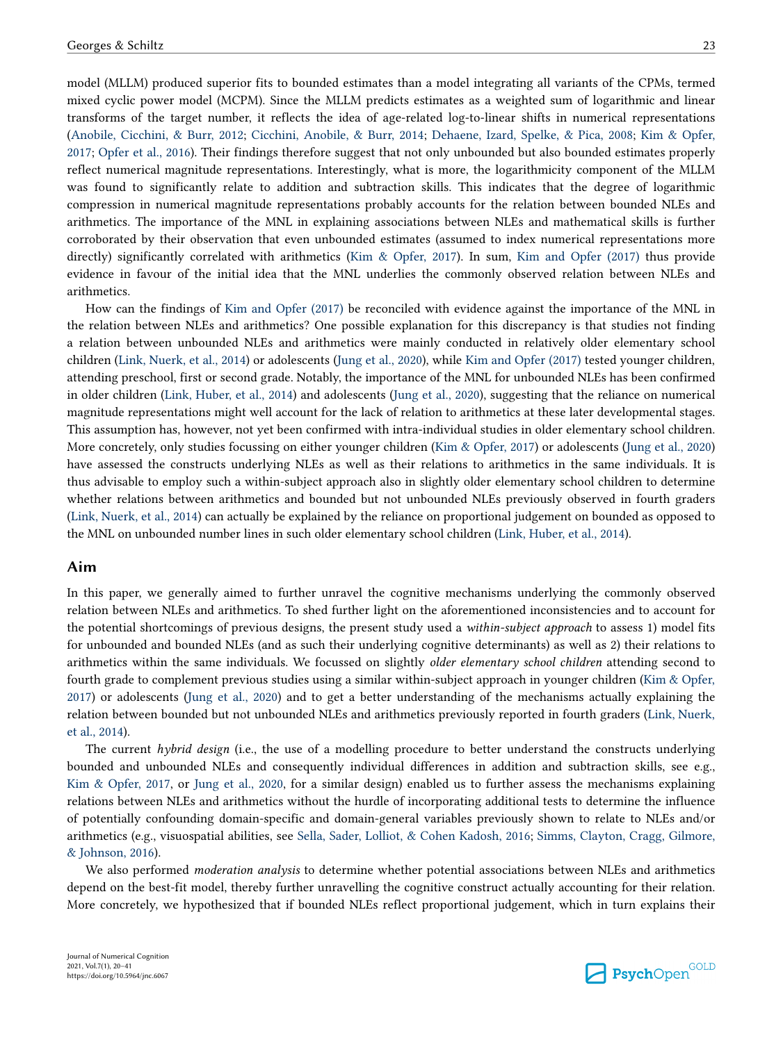model (MLLM) produced superior fits to bounded estimates than a model integrating all variants of the CPMs, termed mixed cyclic power model (MCPM). Since the MLLM predicts estimates as a weighted sum of logarithmic and linear transforms of the target number, it reflects the idea of age-related log-to-linear shifts in numerical representations [\(Anobile, Cicchini, & Burr, 2012](#page-18-0); [Cicchini, Anobile, & Burr, 2014;](#page-19-0) [Dehaene, Izard, Spelke, & Pica, 2008;](#page-19-0) [Kim & Opfer,](#page-20-0) [2017;](#page-20-0) [Opfer et al., 2016\)](#page-20-0). Their findings therefore suggest that not only unbounded but also bounded estimates properly reflect numerical magnitude representations. Interestingly, what is more, the logarithmicity component of the MLLM was found to significantly relate to addition and subtraction skills. This indicates that the degree of logarithmic compression in numerical magnitude representations probably accounts for the relation between bounded NLEs and arithmetics. The importance of the MNL in explaining associations between NLEs and mathematical skills is further corroborated by their observation that even unbounded estimates (assumed to index numerical representations more directly) significantly correlated with arithmetics ([Kim & Opfer, 2017\)](#page-20-0). In sum, [Kim and Opfer \(2017\)](#page-20-0) thus provide evidence in favour of the initial idea that the MNL underlies the commonly observed relation between NLEs and arithmetics.

How can the findings of [Kim and Opfer \(2017\)](#page-20-0) be reconciled with evidence against the importance of the MNL in the relation between NLEs and arithmetics? One possible explanation for this discrepancy is that studies not finding a relation between unbounded NLEs and arithmetics were mainly conducted in relatively older elementary school children [\(Link, Nuerk, et al., 2014](#page-20-0)) or adolescents ([Jung et al., 2020](#page-20-0)), while [Kim and Opfer \(2017\)](#page-20-0) tested younger children, attending preschool, first or second grade. Notably, the importance of the MNL for unbounded NLEs has been confirmed in older children [\(Link, Huber, et al., 2014\)](#page-20-0) and adolescents [\(Jung et al., 2020\)](#page-20-0), suggesting that the reliance on numerical magnitude representations might well account for the lack of relation to arithmetics at these later developmental stages. This assumption has, however, not yet been confirmed with intra-individual studies in older elementary school children. More concretely, only studies focussing on either younger children [\(Kim & Opfer, 2017\)](#page-20-0) or adolescents [\(Jung et al., 2020](#page-20-0)) have assessed the constructs underlying NLEs as well as their relations to arithmetics in the same individuals. It is thus advisable to employ such a within-subject approach also in slightly older elementary school children to determine whether relations between arithmetics and bounded but not unbounded NLEs previously observed in fourth graders [\(Link, Nuerk, et al., 2014\)](#page-20-0) can actually be explained by the reliance on proportional judgement on bounded as opposed to the MNL on unbounded number lines in such older elementary school children [\(Link, Huber, et al., 2014](#page-20-0)).

# **Aim**

In this paper, we generally aimed to further unravel the cognitive mechanisms underlying the commonly observed relation between NLEs and arithmetics. To shed further light on the aforementioned inconsistencies and to account for the potential shortcomings of previous designs, the present study used a *within-subject approach* to assess 1) model fits for unbounded and bounded NLEs (and as such their underlying cognitive determinants) as well as 2) their relations to arithmetics within the same individuals. We focussed on slightly *older elementary school children* attending second to fourth grade to complement previous studies using a similar within-subject approach in younger children ([Kim & Opfer,](#page-20-0)  [2017\)](#page-20-0) or adolescents ([Jung et al., 2020](#page-20-0)) and to get a better understanding of the mechanisms actually explaining the relation between bounded but not unbounded NLEs and arithmetics previously reported in fourth graders ([Link, Nuerk,](#page-20-0)  [et al., 2014\)](#page-20-0).

The current *hybrid design* (i.e., the use of a modelling procedure to better understand the constructs underlying bounded and unbounded NLEs and consequently individual differences in addition and subtraction skills, see e.g., [Kim & Opfer, 2017,](#page-20-0) or [Jung et al., 2020](#page-20-0), for a similar design) enabled us to further assess the mechanisms explaining relations between NLEs and arithmetics without the hurdle of incorporating additional tests to determine the influence of potentially confounding domain-specific and domain-general variables previously shown to relate to NLEs and/or arithmetics (e.g., visuospatial abilities, see [Sella, Sader, Lolliot, & Cohen Kadosh, 2016](#page-21-0); [Simms, Clayton, Cragg, Gilmore,](#page-21-0) [& Johnson, 2016](#page-21-0)).

We also performed *moderation analysis* to determine whether potential associations between NLEs and arithmetics depend on the best-fit model, thereby further unravelling the cognitive construct actually accounting for their relation. More concretely, we hypothesized that if bounded NLEs reflect proportional judgement, which in turn explains their

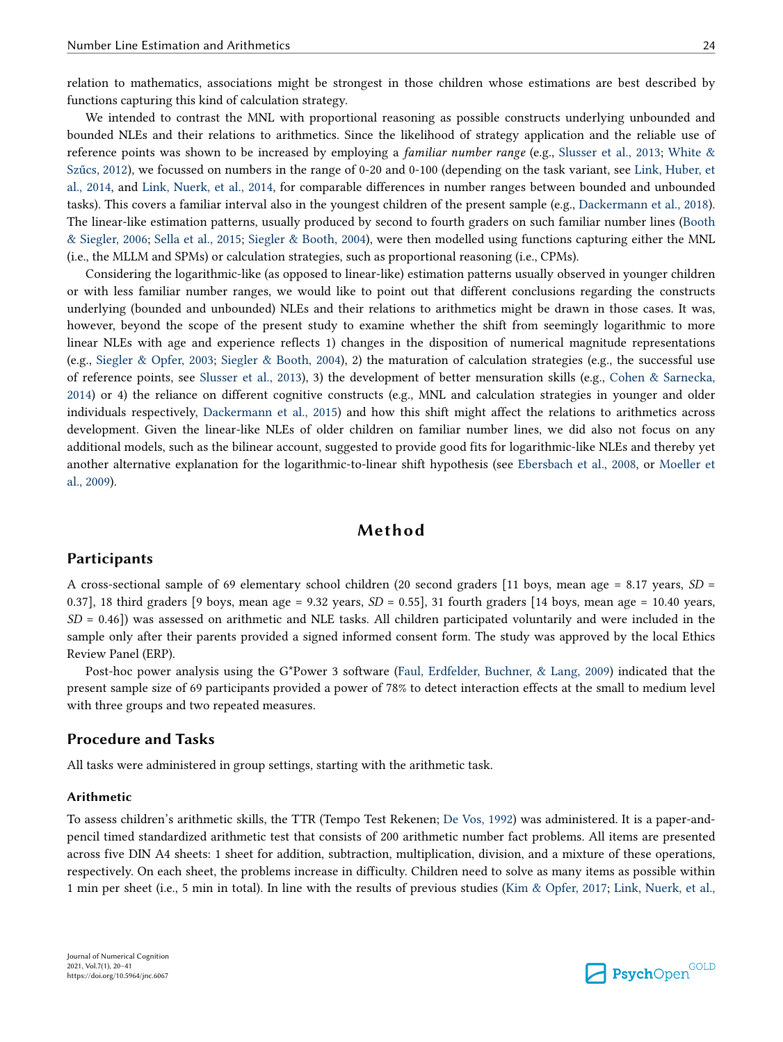relation to mathematics, associations might be strongest in those children whose estimations are best described by functions capturing this kind of calculation strategy.

We intended to contrast the MNL with proportional reasoning as possible constructs underlying unbounded and bounded NLEs and their relations to arithmetics. Since the likelihood of strategy application and the reliable use of reference points was shown to be increased by employing a *familiar number range* (e.g., [Slusser et al., 2013;](#page-21-0) [White &](#page-21-0) [Szűcs, 2012](#page-21-0)), we focussed on numbers in the range of 0-20 and 0-100 (depending on the task variant, see [Link, Huber, et](#page-20-0) [al., 2014](#page-20-0), and [Link, Nuerk, et al., 2014,](#page-20-0) for comparable differences in number ranges between bounded and unbounded tasks). This covers a familiar interval also in the youngest children of the present sample (e.g., [Dackermann et al., 2018](#page-19-0)). The linear-like estimation patterns, usually produced by second to fourth graders on such familiar number lines ([Booth](#page-18-0) [& Siegler, 2006](#page-18-0); [Sella et al., 2015;](#page-21-0) [Siegler & Booth, 2004](#page-21-0)), were then modelled using functions capturing either the MNL (i.e., the MLLM and SPMs) or calculation strategies, such as proportional reasoning (i.e., CPMs).

Considering the logarithmic-like (as opposed to linear-like) estimation patterns usually observed in younger children or with less familiar number ranges, we would like to point out that different conclusions regarding the constructs underlying (bounded and unbounded) NLEs and their relations to arithmetics might be drawn in those cases. It was, however, beyond the scope of the present study to examine whether the shift from seemingly logarithmic to more linear NLEs with age and experience reflects 1) changes in the disposition of numerical magnitude representations (e.g., [Siegler & Opfer, 2003;](#page-21-0) [Siegler & Booth, 2004](#page-21-0)), 2) the maturation of calculation strategies (e.g., the successful use of reference points, see [Slusser et al., 2013\)](#page-21-0), 3) the development of better mensuration skills (e.g., [Cohen & Sarnecka,](#page-19-0) [2014\)](#page-19-0) or 4) the reliance on different cognitive constructs (e.g., MNL and calculation strategies in younger and older individuals respectively, [Dackermann et al., 2015\)](#page-19-0) and how this shift might affect the relations to arithmetics across development. Given the linear-like NLEs of older children on familiar number lines, we did also not focus on any additional models, such as the bilinear account, suggested to provide good fits for logarithmic-like NLEs and thereby yet another alternative explanation for the logarithmic-to-linear shift hypothesis (see [Ebersbach et al., 2008](#page-19-0), or [Moeller et](#page-20-0) [al., 2009\)](#page-20-0).

# **Method**

## **Participants**

A cross-sectional sample of 69 elementary school children (20 second graders [11 boys, mean age = 8.17 years, *SD* = 0.37], 18 third graders [9 boys, mean age =  $9.32$  years,  $SD = 0.55$ ], 31 fourth graders [14 boys, mean age =  $10.40$  years, *SD* = 0.46]) was assessed on arithmetic and NLE tasks. All children participated voluntarily and were included in the sample only after their parents provided a signed informed consent form. The study was approved by the local Ethics Review Panel (ERP).

Post-hoc power analysis using the G\*Power 3 software ([Faul, Erdfelder, Buchner, & Lang, 2009\)](#page-19-0) indicated that the present sample size of 69 participants provided a power of 78% to detect interaction effects at the small to medium level with three groups and two repeated measures.

## **Procedure and Tasks**

All tasks were administered in group settings, starting with the arithmetic task.

### **Arithmetic**

To assess children's arithmetic skills, the TTR (Tempo Test Rekenen; [De Vos, 1992](#page-19-0)) was administered. It is a paper-andpencil timed standardized arithmetic test that consists of 200 arithmetic number fact problems. All items are presented across five DIN A4 sheets: 1 sheet for addition, subtraction, multiplication, division, and a mixture of these operations, respectively. On each sheet, the problems increase in difficulty. Children need to solve as many items as possible within 1 min per sheet (i.e., 5 min in total). In line with the results of previous studies ([Kim & Opfer, 2017;](#page-20-0) [Link, Nuerk, et al.,](#page-20-0)

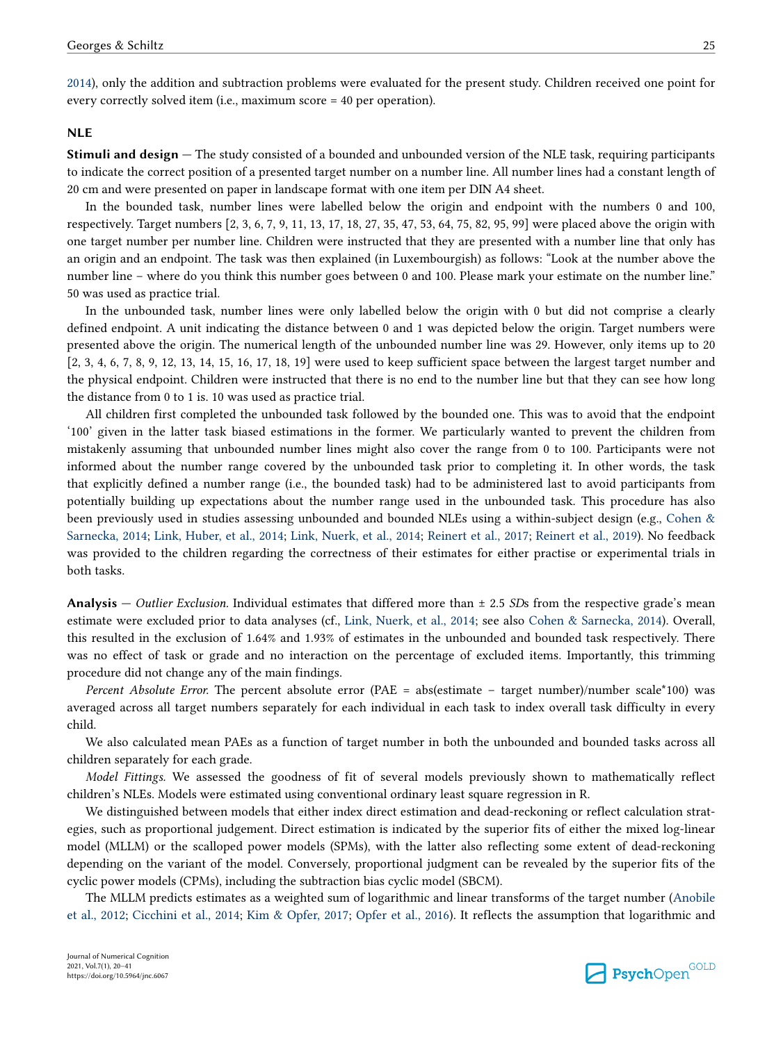[2014\)](#page-20-0), only the addition and subtraction problems were evaluated for the present study. Children received one point for every correctly solved item (i.e., maximum score = 40 per operation).

### **NLE**

**Stimuli and design** – The study consisted of a bounded and unbounded version of the NLE task, requiring participants to indicate the correct position of a presented target number on a number line. All number lines had a constant length of 20 cm and were presented on paper in landscape format with one item per DIN A4 sheet.

In the bounded task, number lines were labelled below the origin and endpoint with the numbers 0 and 100, respectively. Target numbers [2, 3, 6, 7, 9, 11, 13, 17, 18, 27, 35, 47, 53, 64, 75, 82, 95, 99] were placed above the origin with one target number per number line. Children were instructed that they are presented with a number line that only has an origin and an endpoint. The task was then explained (in Luxembourgish) as follows: "Look at the number above the number line – where do you think this number goes between 0 and 100. Please mark your estimate on the number line." 50 was used as practice trial.

In the unbounded task, number lines were only labelled below the origin with 0 but did not comprise a clearly defined endpoint. A unit indicating the distance between 0 and 1 was depicted below the origin. Target numbers were presented above the origin. The numerical length of the unbounded number line was 29. However, only items up to 20 [2, 3, 4, 6, 7, 8, 9, 12, 13, 14, 15, 16, 17, 18, 19] were used to keep sufficient space between the largest target number and the physical endpoint. Children were instructed that there is no end to the number line but that they can see how long the distance from 0 to 1 is. 10 was used as practice trial.

All children first completed the unbounded task followed by the bounded one. This was to avoid that the endpoint '100' given in the latter task biased estimations in the former. We particularly wanted to prevent the children from mistakenly assuming that unbounded number lines might also cover the range from 0 to 100. Participants were not informed about the number range covered by the unbounded task prior to completing it. In other words, the task that explicitly defined a number range (i.e., the bounded task) had to be administered last to avoid participants from potentially building up expectations about the number range used in the unbounded task. This procedure has also been previously used in studies assessing unbounded and bounded NLEs using a within-subject design (e.g., [Cohen &](#page-19-0) [Sarnecka, 2014;](#page-19-0) [Link, Huber, et al., 2014;](#page-20-0) [Link, Nuerk, et al., 2014;](#page-20-0) [Reinert et al., 2017](#page-20-0); [Reinert et al., 2019\)](#page-20-0). No feedback was provided to the children regarding the correctness of their estimates for either practise or experimental trials in both tasks.

**Analysis —** *Outlier Exclusion*. Individual estimates that differed more than  $\pm$  2.5 *SDs* from the respective grade's mean estimate were excluded prior to data analyses (cf., [Link, Nuerk, et al., 2014](#page-20-0); see also [Cohen & Sarnecka, 2014\)](#page-19-0). Overall, this resulted in the exclusion of 1.64% and 1.93% of estimates in the unbounded and bounded task respectively. There was no effect of task or grade and no interaction on the percentage of excluded items. Importantly, this trimming procedure did not change any of the main findings.

*Percent Absolute Error.* The percent absolute error (PAE = abs(estimate – target number)/number scale\*100) was averaged across all target numbers separately for each individual in each task to index overall task difficulty in every child.

We also calculated mean PAEs as a function of target number in both the unbounded and bounded tasks across all children separately for each grade.

*Model Fittings.* We assessed the goodness of fit of several models previously shown to mathematically reflect children's NLEs. Models were estimated using conventional ordinary least square regression in R.

We distinguished between models that either index direct estimation and dead-reckoning or reflect calculation strategies, such as proportional judgement. Direct estimation is indicated by the superior fits of either the mixed log-linear model (MLLM) or the scalloped power models (SPMs), with the latter also reflecting some extent of dead-reckoning depending on the variant of the model. Conversely, proportional judgment can be revealed by the superior fits of the cyclic power models (CPMs), including the subtraction bias cyclic model (SBCM).

The MLLM predicts estimates as a weighted sum of logarithmic and linear transforms of the target number [\(Anobile](#page-18-0) [et al., 2012](#page-18-0); [Cicchini et al., 2014](#page-19-0); [Kim & Opfer, 2017](#page-20-0); [Opfer et al., 2016\)](#page-20-0). It reflects the assumption that logarithmic and

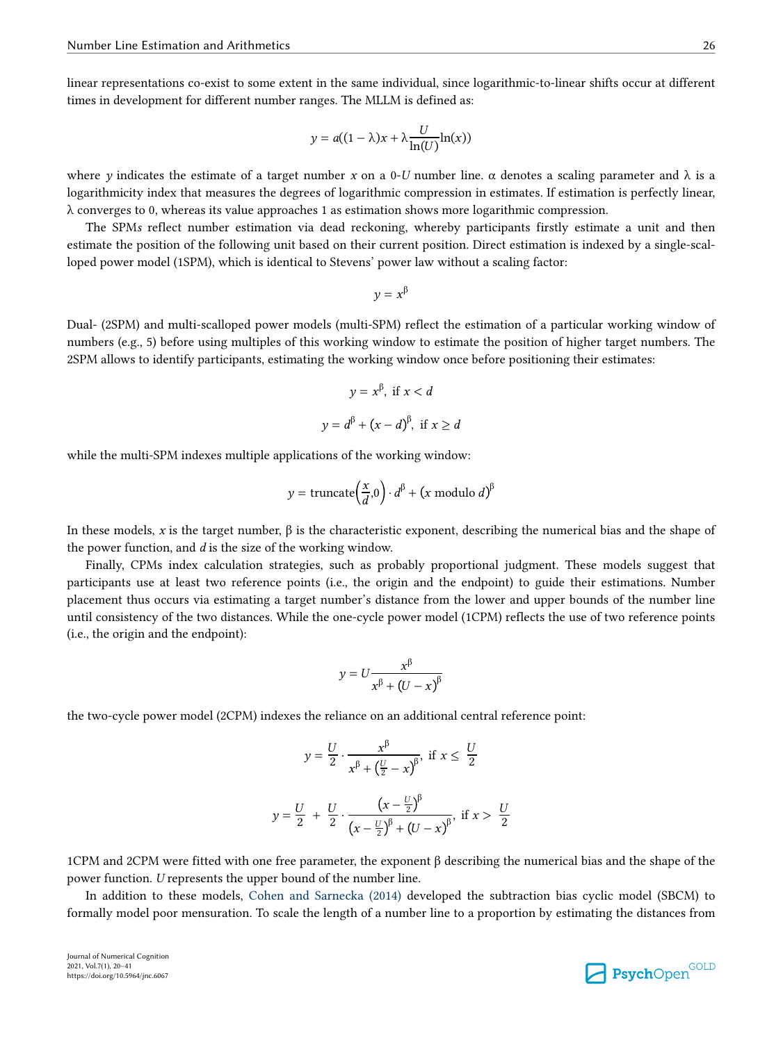linear representations co-exist to some extent in the same individual, since logarithmic-to-linear shifts occur at different times in development for different number ranges. The MLLM is defined as:

$$
y = a((1 - \lambda)x + \lambda \frac{U}{\ln(U)} \ln(x))
$$

where *y* indicates the estimate of a target number *x* on a 0-*U* number line.  $\alpha$  denotes a scaling parameter and  $\lambda$  is a logarithmicity index that measures the degrees of logarithmic compression in estimates. If estimation is perfectly linear,  $\lambda$  converges to 0, whereas its value approaches 1 as estimation shows more logarithmic compression.

The SPM*s* reflect number estimation via dead reckoning, whereby participants firstly estimate a unit and then estimate the position of the following unit based on their current position. Direct estimation is indexed by a single-scalloped power model (1SPM), which is identical to Stevens' power law without a scaling factor:

$$
y = x^{\beta}
$$

Dual- (2SPM) and multi-scalloped power models (multi-SPM) reflect the estimation of a particular working window of numbers (e.g., 5) before using multiples of this working window to estimate the position of higher target numbers. The 2SPM allows to identify participants, estimating the working window once before positioning their estimates:

$$
y = x^{\beta}, \text{ if } x < d
$$
\n
$$
y = d^{\beta} + (x - d)^{\beta}, \text{ if } x \ge d
$$

while the multi-SPM indexes multiple applications of the working window:

$$
y = \text{truncated}\left(\frac{x}{d}, 0\right) \cdot d^{\beta} + \left(x \text{ modulo } d\right)^{\beta}
$$

In these models, *x* is the target number, β is the characteristic exponent, describing the numerical bias and the shape of the power function, and *d* is the size of the working window.

Finally, CPMs index calculation strategies, such as probably proportional judgment. These models suggest that participants use at least two reference points (i.e., the origin and the endpoint) to guide their estimations. Number placement thus occurs via estimating a target number's distance from the lower and upper bounds of the number line until consistency of the two distances. While the one-cycle power model (1CPM) reflects the use of two reference points (i.e., the origin and the endpoint):

$$
y = U \frac{x^{\beta}}{x^{\beta} + (U - x)^{\beta}}
$$

the two-cycle power model (2CPM) indexes the reliance on an additional central reference point:

$$
y = \frac{U}{2} \cdot \frac{x^{\beta}}{x^{\beta} + (\frac{U}{2} - x)^{\beta}}, \text{ if } x \le \frac{U}{2}
$$
  

$$
y = \frac{U}{2} + \frac{U}{2} \cdot \frac{(x - \frac{U}{2})^{\beta}}{(x - \frac{U}{2})^{\beta} + (U - x)^{\beta}}, \text{ if } x > \frac{U}{2}
$$

1CPM and 2CPM were fitted with one free parameter, the exponent β describing the numerical bias and the shape of the power function. *U* represents the upper bound of the number line.

In addition to these models, [Cohen and Sarnecka \(2014\)](#page-19-0) developed the subtraction bias cyclic model (SBCM) to formally model poor mensuration. To scale the length of a number line to a proportion by estimating the distances from

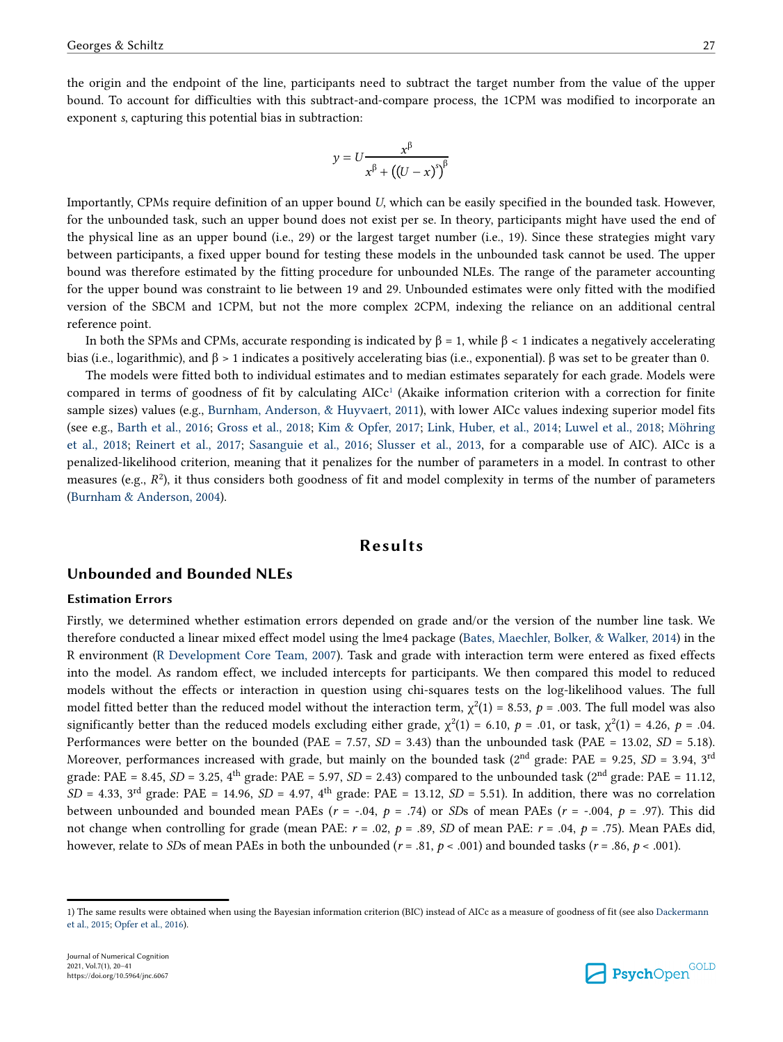the origin and the endpoint of the line, participants need to subtract the target number from the value of the upper bound. To account for difficulties with this subtract-and-compare process, the 1CPM was modified to incorporate an exponent *s*, capturing this potential bias in subtraction:

$$
y = U \frac{x^{\beta}}{x^{\beta} + ((U - x)^{s})^{\beta}}
$$

Importantly, CPMs require definition of an upper bound *U*, which can be easily specified in the bounded task. However, for the unbounded task, such an upper bound does not exist per se. In theory, participants might have used the end of the physical line as an upper bound (i.e., 29) or the largest target number (i.e., 19). Since these strategies might vary between participants, a fixed upper bound for testing these models in the unbounded task cannot be used. The upper bound was therefore estimated by the fitting procedure for unbounded NLEs. The range of the parameter accounting for the upper bound was constraint to lie between 19 and 29. Unbounded estimates were only fitted with the modified version of the SBCM and 1CPM, but not the more complex 2CPM, indexing the reliance on an additional central reference point.

In both the SPMs and CPMs, accurate responding is indicated by  $β = 1$ , while  $β < 1$  indicates a negatively accelerating bias (i.e., logarithmic), and β > 1 indicates a positively accelerating bias (i.e., exponential). β was set to be greater than 0.

The models were fitted both to individual estimates and to median estimates separately for each grade. Models were compared in terms of goodness of fit by calculating AICc<sup>1</sup> (Akaike information criterion with a correction for finite sample sizes) values (e.g., [Burnham, Anderson, & Huyvaert, 2011](#page-18-0)), with lower AICc values indexing superior model fits (see e.g., [Barth et al., 2016;](#page-18-0) [Gross et al., 2018](#page-19-0); [Kim & Opfer, 2017;](#page-20-0) [Link, Huber, et al., 2014;](#page-20-0) [Luwel et al., 2018;](#page-20-0) [Möhring](#page-20-0) [et al., 2018](#page-20-0); [Reinert et al., 2017](#page-20-0); [Sasanguie et al., 2016;](#page-20-0) [Slusser et al., 2013](#page-21-0), for a comparable use of AIC). AICc is a penalized-likelihood criterion, meaning that it penalizes for the number of parameters in a model. In contrast to other measures (e.g.,  $R^2$ ), it thus considers both goodness of fit and model complexity in terms of the number of parameters [\(Burnham & Anderson, 2004\)](#page-18-0).

# **Results**

# **Unbounded and Bounded NLEs**

### **Estimation Errors**

Firstly, we determined whether estimation errors depended on grade and/or the version of the number line task. We therefore conducted a linear mixed effect model using the lme4 package [\(Bates, Maechler, Bolker, & Walker, 2014\)](#page-18-0) in the R environment [\(R Development Core Team, 2007\)](#page-20-0). Task and grade with interaction term were entered as fixed effects into the model. As random effect, we included intercepts for participants. We then compared this model to reduced models without the effects or interaction in question using chi-squares tests on the log-likelihood values. The full model fitted better than the reduced model without the interaction term,  $\chi^2(1) = 8.53$ ,  $p = .003$ . The full model was also significantly better than the reduced models excluding either grade,  $\chi^2(1) = 6.10$ ,  $p = .01$ , or task,  $\chi^2(1) = 4.26$ ,  $p = .04$ . Performances were better on the bounded (PAE = 7.57, *SD* = 3.43) than the unbounded task (PAE = 13.02, *SD* = 5.18). Moreover, performances increased with grade, but mainly on the bounded task ( $2<sup>nd</sup>$  grade: PAE = 9.25, *SD* = 3.94,  $3<sup>rd</sup>$ grade: PAE = 8.45,  $SD = 3.25$ ,  $4<sup>th</sup>$  grade: PAE = 5.97,  $SD = 2.43$ ) compared to the unbounded task ( $2<sup>nd</sup>$  grade: PAE = 11.12,  $SD = 4.33$ ,  $3<sup>rd</sup>$  grade: PAE = 14.96,  $SD = 4.97$ ,  $4<sup>th</sup>$  grade: PAE = 13.12,  $SD = 5.51$ ). In addition, there was no correlation between unbounded and bounded mean PAEs (*r* = -.04, *p* = .74) or *SD*s of mean PAEs (*r* = -.004, *p* = .97). This did not change when controlling for grade (mean PAE: *r* = .02, *p* = .89, *SD* of mean PAE: *r* = .04, *p* = .75). Mean PAEs did, however, relate to *SD*s of mean PAEs in both the unbounded ( $r = .81$ ,  $p < .001$ ) and bounded tasks ( $r = .86$ ,  $p < .001$ ).



<sup>1)</sup> The same results were obtained when using the Bayesian information criterion (BIC) instead of AICc as a measure of goodness of fit (see also [Dackermann](#page-19-0) [et al., 2015;](#page-19-0) [Opfer et al., 2016\)](#page-20-0).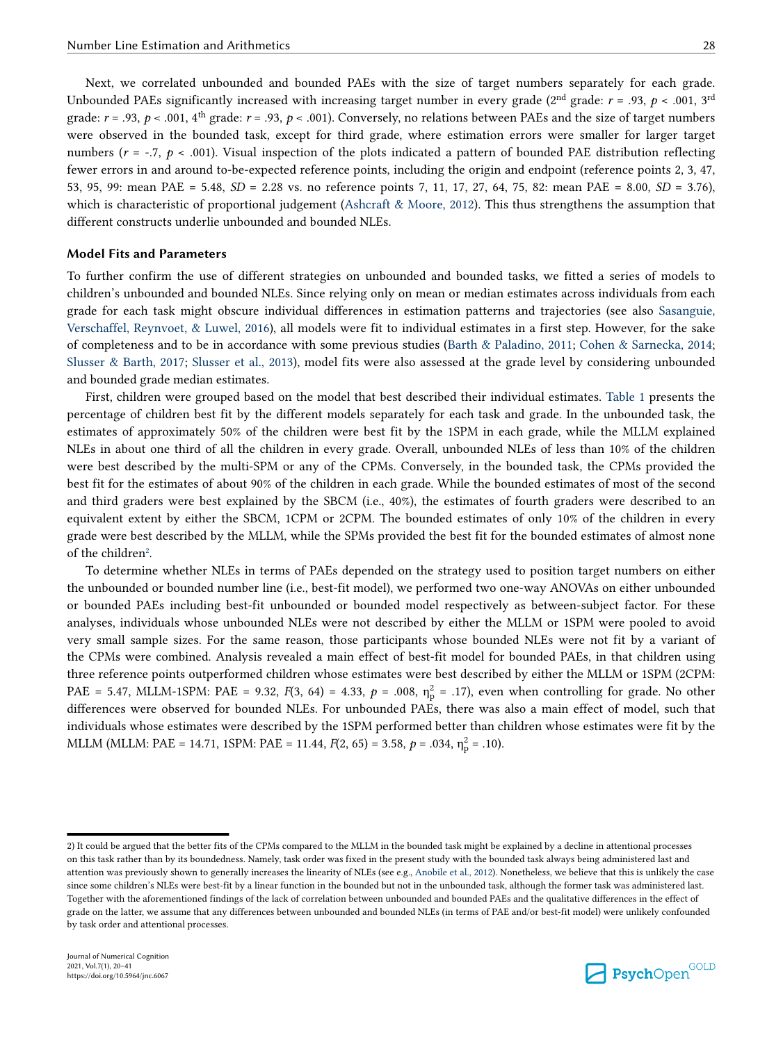Next, we correlated unbounded and bounded PAEs with the size of target numbers separately for each grade. Unbounded PAEs significantly increased with increasing target number in every grade ( $2<sup>nd</sup>$  grade:  $r = .93$ ,  $p < .001$ ,  $3<sup>rd</sup>$ grade:  $r = .93$ ,  $p < .001$ ,  $4<sup>th</sup>$  grade:  $r = .93$ ,  $p < .001$ ). Conversely, no relations between PAEs and the size of target numbers were observed in the bounded task, except for third grade, where estimation errors were smaller for larger target numbers ( $r = -0.7$ ,  $p < .001$ ). Visual inspection of the plots indicated a pattern of bounded PAE distribution reflecting

fewer errors in and around to-be-expected reference points, including the origin and endpoint (reference points 2, 3, 47, 53, 95, 99: mean PAE = 5.48, *SD* = 2.28 vs. no reference points 7, 11, 17, 27, 64, 75, 82: mean PAE = 8.00, *SD* = 3.76), which is characteristic of proportional judgement [\(Ashcraft & Moore, 2012\)](#page-18-0). This thus strengthens the assumption that different constructs underlie unbounded and bounded NLEs.

# **Model Fits and Parameters**

To further confirm the use of different strategies on unbounded and bounded tasks, we fitted a series of models to children's unbounded and bounded NLEs. Since relying only on mean or median estimates across individuals from each grade for each task might obscure individual differences in estimation patterns and trajectories (see also [Sasanguie,](#page-20-0) [Verschaffel, Reynvoet, & Luwel, 2016](#page-20-0)), all models were fit to individual estimates in a first step. However, for the sake of completeness and to be in accordance with some previous studies ([Barth & Paladino, 2011;](#page-18-0) [Cohen & Sarnecka, 2014;](#page-19-0) [Slusser & Barth, 2017;](#page-21-0) [Slusser et al., 2013](#page-21-0)), model fits were also assessed at the grade level by considering unbounded and bounded grade median estimates.

First, children were grouped based on the model that best described their individual estimates. [Table 1](#page-9-0) presents the percentage of children best fit by the different models separately for each task and grade. In the unbounded task, the estimates of approximately 50% of the children were best fit by the 1SPM in each grade, while the MLLM explained NLEs in about one third of all the children in every grade. Overall, unbounded NLEs of less than 10% of the children were best described by the multi-SPM or any of the CPMs. Conversely, in the bounded task, the CPMs provided the best fit for the estimates of about 90% of the children in each grade. While the bounded estimates of most of the second and third graders were best explained by the SBCM (i.e., 40%), the estimates of fourth graders were described to an equivalent extent by either the SBCM, 1CPM or 2CPM. The bounded estimates of only 10% of the children in every grade were best described by the MLLM, while the SPMs provided the best fit for the bounded estimates of almost none of the children<sup>2</sup>.

To determine whether NLEs in terms of PAEs depended on the strategy used to position target numbers on either the unbounded or bounded number line (i.e., best-fit model), we performed two one-way ANOVAs on either unbounded or bounded PAEs including best-fit unbounded or bounded model respectively as between-subject factor. For these analyses, individuals whose unbounded NLEs were not described by either the MLLM or 1SPM were pooled to avoid very small sample sizes. For the same reason, those participants whose bounded NLEs were not fit by a variant of the CPMs were combined. Analysis revealed a main effect of best-fit model for bounded PAEs, in that children using three reference points outperformed children whose estimates were best described by either the MLLM or 1SPM (2CPM: PAE = 5.47, MLLM-1SPM: PAE = 9.32,  $F(3, 64) = 4.33$ ,  $p = .008$ ,  $\eta_p^2 = .17$ ), even when controlling for grade. No other differences were observed for bounded NLEs. For unbounded PAEs, there was also a main effect of model, such that individuals whose estimates were described by the 1SPM performed better than children whose estimates were fit by the MLLM (MLLM: PAE = 14.71, 1SPM: PAE = 11.44,  $F(2, 65) = 3.58$ ,  $p = .034$ ,  $\eta_p^2 = .10$ ).



<sup>2)</sup> It could be argued that the better fits of the CPMs compared to the MLLM in the bounded task might be explained by a decline in attentional processes on this task rather than by its boundedness. Namely, task order was fixed in the present study with the bounded task always being administered last and attention was previously shown to generally increases the linearity of NLEs (see e.g., [Anobile et al., 2012\)](#page-18-0). Nonetheless, we believe that this is unlikely the case since some children's NLEs were best-fit by a linear function in the bounded but not in the unbounded task, although the former task was administered last. Together with the aforementioned findings of the lack of correlation between unbounded and bounded PAEs and the qualitative differences in the effect of grade on the latter, we assume that any differences between unbounded and bounded NLEs (in terms of PAE and/or best-fit model) were unlikely confounded by task order and attentional processes.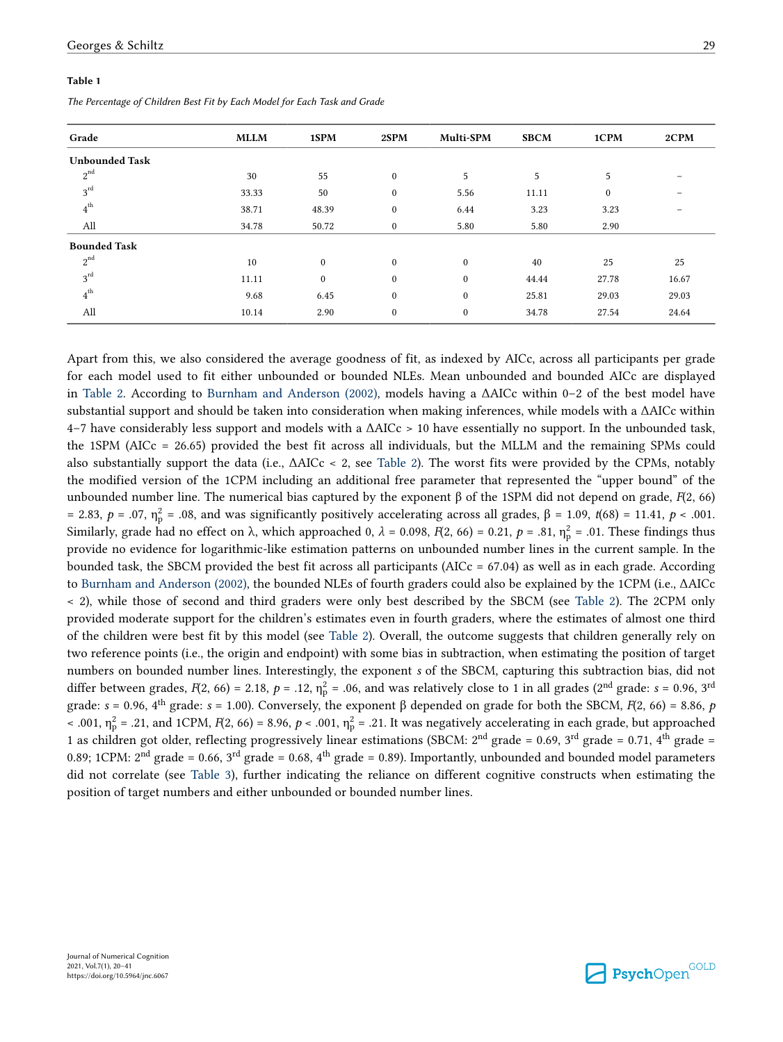#### <span id="page-9-0"></span>**Table 1**

*The Percentage of Children Best Fit by Each Model for Each Task and Grade*

| Grade                 | <b>MLLM</b> | 1SPM         | 2SPM         | Multi-SPM        | <b>SBCM</b> | 1CPM     | 2CPM  |
|-----------------------|-------------|--------------|--------------|------------------|-------------|----------|-------|
| <b>Unbounded Task</b> |             |              |              |                  |             |          |       |
| $2^{nd}$              | 30          | 55           | $\mathbf{0}$ | 5                | 5           | 5        | -     |
| $3^{rd}$              | 33.33       | 50           | $\bf{0}$     | 5.56             | 11.11       | $\bf{0}$ |       |
| $4^{\rm th}$          | 38.71       | 48.39        | $\bf{0}$     | 6.44             | 3.23        | 3.23     | -     |
| All                   | 34.78       | 50.72        | $\bf{0}$     | 5.80             | 5.80        | 2.90     |       |
| <b>Bounded Task</b>   |             |              |              |                  |             |          |       |
| $2^{nd}$              | 10          | $\mathbf{0}$ | $\mathbf{0}$ | $\mathbf{0}$     | 40          | 25       | 25    |
| $3^{rd}$              | 11.11       | $\mathbf{0}$ | $\mathbf{0}$ | $\mathbf{0}$     | 44.44       | 27.78    | 16.67 |
| $4^{\rm th}$          | 9.68        | 6.45         | $\bf{0}$     | $\mathbf{0}$     | 25.81       | 29.03    | 29.03 |
| All                   | 10.14       | 2.90         | $\bf{0}$     | $\boldsymbol{0}$ | 34.78       | 27.54    | 24.64 |
|                       |             |              |              |                  |             |          |       |

Apart from this, we also considered the average goodness of fit, as indexed by AICc, across all participants per grade for each model used to fit either unbounded or bounded NLEs. Mean unbounded and bounded AICc are displayed in [Table 2.](#page-10-0) According to [Burnham and Anderson \(2002\)](#page-18-0), models having a ΔAICc within 0–2 of the best model have substantial support and should be taken into consideration when making inferences, while models with a ΔAICc within 4–7 have considerably less support and models with a ΔAICc > 10 have essentially no support. In the unbounded task, the 1SPM (AICc = 26.65) provided the best fit across all individuals, but the MLLM and the remaining SPMs could also substantially support the data (i.e., ΔAICc < 2, see [Table 2](#page-10-0)). The worst fits were provided by the CPMs, notably the modified version of the 1CPM including an additional free parameter that represented the "upper bound" of the unbounded number line. The numerical bias captured by the exponent β of the 1SPM did not depend on grade, *F*(2, 66) = 2.83, *p* = .07,  $η<sub>p</sub><sup>2</sup>$  = .08, and was significantly positively accelerating across all grades, β = 1.09, *t*(68) = 11.41, *p* < .001. Similarly, grade had no effect on λ, which approached 0,  $\lambda$  = 0.098,  $F(2, 66)$  = 0.21,  $p$  = .81,  $η<sub>p</sub><sup>2</sup>$  = .01. These findings thus provide no evidence for logarithmic-like estimation patterns on unbounded number lines in the current sample. In the bounded task, the SBCM provided the best fit across all participants (AICc  $= 67.04$ ) as well as in each grade. According to [Burnham and Anderson \(2002\),](#page-18-0) the bounded NLEs of fourth graders could also be explained by the 1CPM (i.e., ΔAICc < 2), while those of second and third graders were only best described by the SBCM (see [Table 2](#page-10-0)). The 2CPM only provided moderate support for the children's estimates even in fourth graders, where the estimates of almost one third of the children were best fit by this model (see [Table 2](#page-10-0)). Overall, the outcome suggests that children generally rely on two reference points (i.e., the origin and endpoint) with some bias in subtraction, when estimating the position of target numbers on bounded number lines. Interestingly, the exponent *s* of the SBCM, capturing this subtraction bias, did not differ between grades,  $F(2, 66) = 2.18$ ,  $p = .12$ ,  $\eta_p^2 = .06$ , and was relatively close to 1 in all grades (2<sup>nd</sup> grade: *s* = 0.96, 3<sup>rd</sup> grade: *s* = 0.96, 4th grade: *s* = 1.00). Conversely, the exponent β depended on grade for both the SBCM, *F*(2, 66) = 8.86, *p*   $\sim$  .001,  $\eta_p^2$  = .21, and 1CPM, *F*(2, 66) = 8.96, *p* < .001,  $\eta_p^2$  = .21. It was negatively accelerating in each grade, but approached

1 as children got older, reflecting progressively linear estimations (SBCM:  $2^{nd}$  grade = 0.69,  $3^{rd}$  grade = 0.71,  $4^{th}$  grade = 0.89; 1CPM:  $2<sup>nd</sup> grade = 0.66$ ,  $3<sup>rd</sup> grade = 0.68$ ,  $4<sup>th</sup> grade = 0.89$ ). Importantly, unbounded and bounded model parameters did not correlate (see [Table 3\)](#page-10-0), further indicating the reliance on different cognitive constructs when estimating the position of target numbers and either unbounded or bounded number lines.

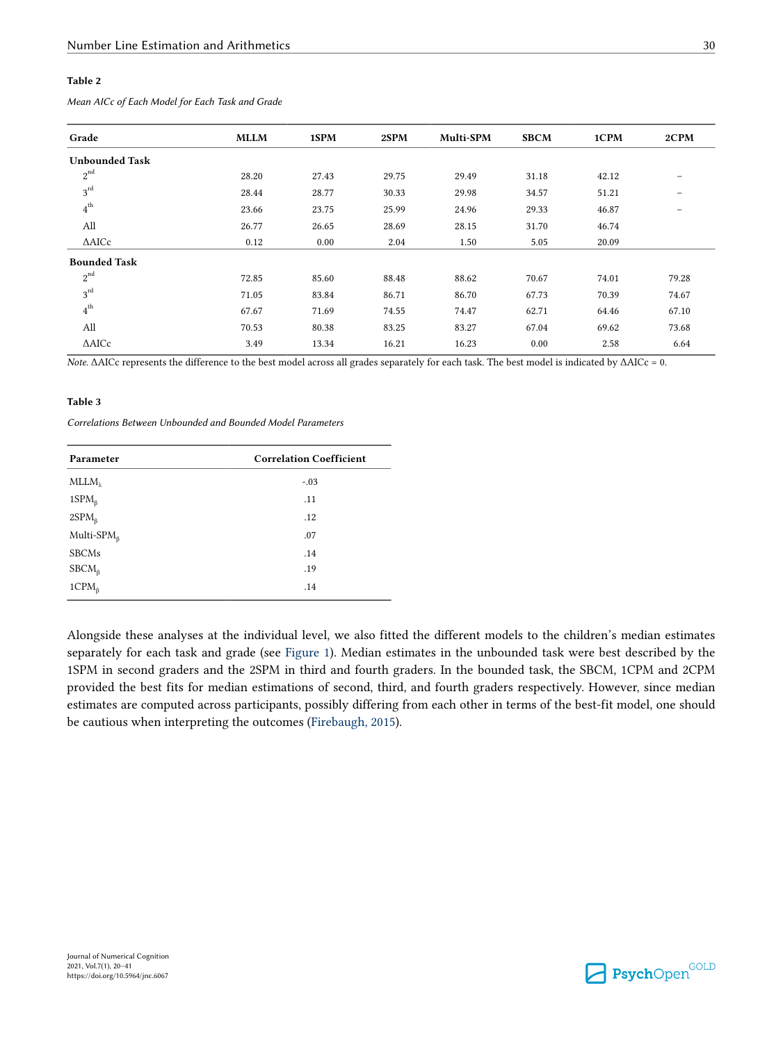### <span id="page-10-0"></span>**Table 2**

| Grade                 | <b>MLLM</b> | 1SPM  | 2SPM  | Multi-SPM | <b>SBCM</b> | 1CPM  | 2CPM                     |
|-----------------------|-------------|-------|-------|-----------|-------------|-------|--------------------------|
| <b>Unbounded Task</b> |             |       |       |           |             |       |                          |
| $2^{nd}$              | 28.20       | 27.43 | 29.75 | 29.49     | 31.18       | 42.12 | $\overline{\phantom{0}}$ |
| $3^{rd}$              | 28.44       | 28.77 | 30.33 | 29.98     | 34.57       | 51.21 | $\qquad \qquad =$        |
| $4^{th}$              | 23.66       | 23.75 | 25.99 | 24.96     | 29.33       | 46.87 | $\qquad \qquad =$        |
| All                   | 26.77       | 26.65 | 28.69 | 28.15     | 31.70       | 46.74 |                          |
| $\triangle$ AICc      | 0.12        | 0.00  | 2.04  | 1.50      | 5.05        | 20.09 |                          |
| <b>Bounded Task</b>   |             |       |       |           |             |       |                          |
| $2^{nd}$              | 72.85       | 85.60 | 88.48 | 88.62     | 70.67       | 74.01 | 79.28                    |
| $3^{rd}$              | 71.05       | 83.84 | 86.71 | 86.70     | 67.73       | 70.39 | 74.67                    |
| $4^{\rm th}$          | 67.67       | 71.69 | 74.55 | 74.47     | 62.71       | 64.46 | 67.10                    |
| All                   | 70.53       | 80.38 | 83.25 | 83.27     | 67.04       | 69.62 | 73.68                    |
| $\triangle$ AICc      | 3.49        | 13.34 | 16.21 | 16.23     | 0.00        | 2.58  | 6.64                     |

*Mean AICc of Each Model for Each Task and Grade*

*Note.* ΔAICc represents the difference to the best model across all grades separately for each task. The best model is indicated by ΔAICc = 0.

#### **Table 3**

*Correlations Between Unbounded and Bounded Model Parameters*

| Parameter             | <b>Correlation Coefficient</b> |
|-----------------------|--------------------------------|
| MLLM                  | $-.03$                         |
| 1SPM <sub>6</sub>     | .11                            |
| $2SPM_{\beta}$        | .12                            |
| Multi- $SPMβ$         | .07                            |
| <b>SBCMs</b>          | .14                            |
| $\text{SBCM}_{\beta}$ | .19                            |
| $1CPM_{\beta}$        | .14                            |

Alongside these analyses at the individual level, we also fitted the different models to the children's median estimates separately for each task and grade (see [Figure 1](#page-11-0)). Median estimates in the unbounded task were best described by the 1SPM in second graders and the 2SPM in third and fourth graders. In the bounded task, the SBCM, 1CPM and 2CPM provided the best fits for median estimations of second, third, and fourth graders respectively. However, since median estimates are computed across participants, possibly differing from each other in terms of the best-fit model, one should be cautious when interpreting the outcomes ([Firebaugh, 2015\)](#page-19-0).

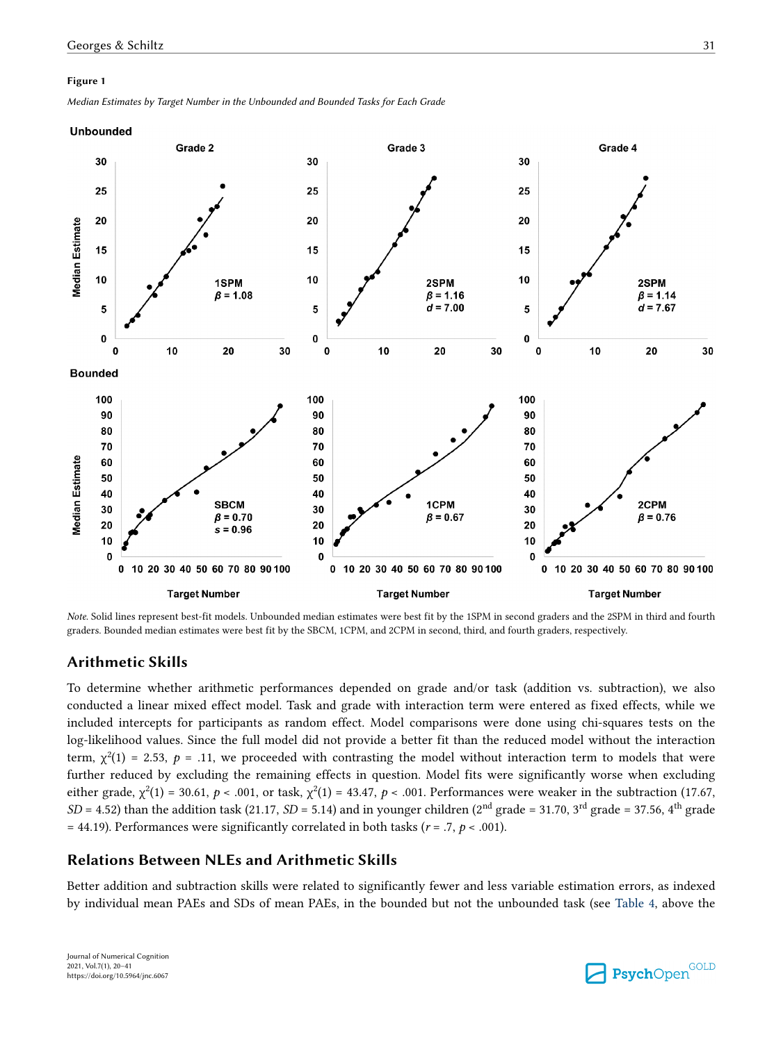#### <span id="page-11-0"></span>**Figure 1**

*Median Estimates by Target Number in the Unbounded and Bounded Tasks for Each Grade*

#### **Unbounded**



*Note.* Solid lines represent best-fit models. Unbounded median estimates were best fit by the 1SPM in second graders and the 2SPM in third and fourth graders. Bounded median estimates were best fit by the SBCM, 1CPM, and 2CPM in second, third, and fourth graders, respectively.

# **Arithmetic Skills**

To determine whether arithmetic performances depended on grade and/or task (addition vs. subtraction), we also conducted a linear mixed effect model. Task and grade with interaction term were entered as fixed effects, while we included intercepts for participants as random effect. Model comparisons were done using chi-squares tests on the log-likelihood values. Since the full model did not provide a better fit than the reduced model without the interaction term,  $\chi^2(1)$  = 2.53,  $p$  = .11, we proceeded with contrasting the model without interaction term to models that were further reduced by excluding the remaining effects in question. Model fits were significantly worse when excluding either grade,  $\chi^2(1)$  = 30.61, *p* < .001, or task,  $\chi^2(1)$  = 43.47, *p* < .001. Performances were weaker in the subtraction (17.67,  $SD = 4.52$ ) than the addition task (21.17,  $SD = 5.14$ ) and in younger children (2<sup>nd</sup> grade = 31.70, 3<sup>rd</sup> grade = 37.56, 4<sup>th</sup> grade = 44.19). Performances were significantly correlated in both tasks ( $r = .7$ ,  $p < .001$ ).

# **Relations Between NLEs and Arithmetic Skills**

Better addition and subtraction skills were related to significantly fewer and less variable estimation errors, as indexed by individual mean PAEs and SDs of mean PAEs, in the bounded but not the unbounded task (see [Table 4](#page-12-0), above the

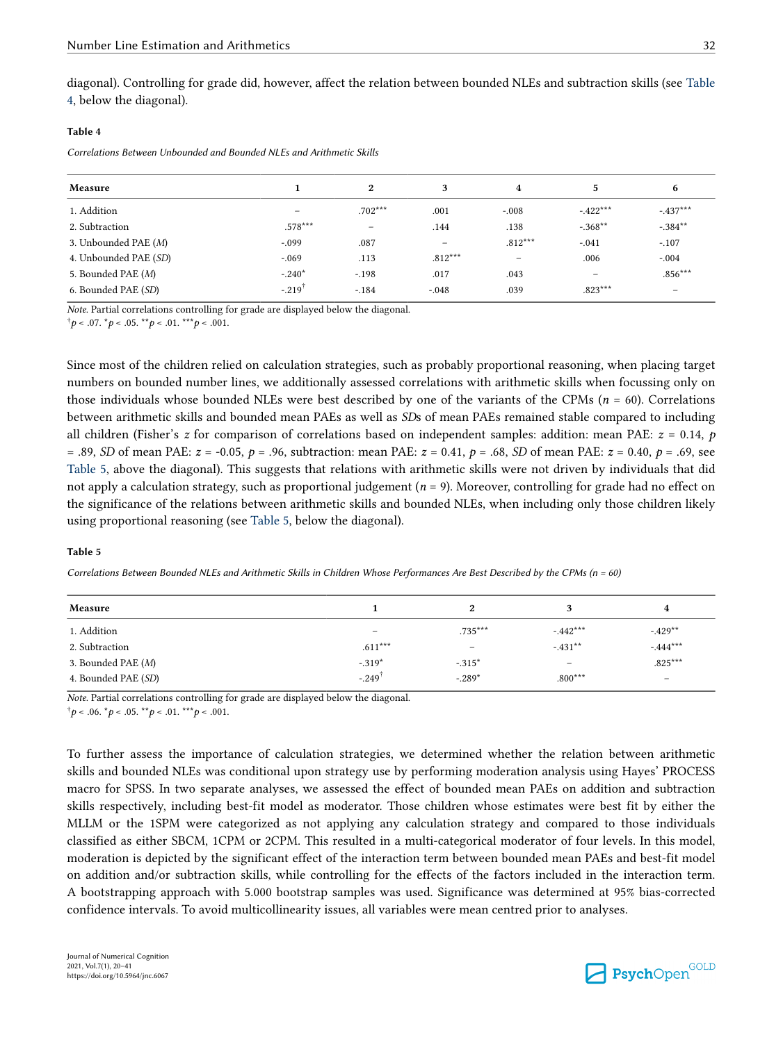#### <span id="page-12-0"></span>**Table 4**

*Correlations Between Unbounded and Bounded NLEs and Arithmetic Skills*

| 6                 |
|-------------------|
|                   |
| $-.437***$        |
| $-.384***$        |
| $-.107$           |
| $-.004$           |
| $.856***$         |
| $\qquad \qquad -$ |
|                   |

*Note*. Partial correlations controlling for grade are displayed below the diagonal.

 $\phi^{\dagger} p < .07.$   $\phi^{\dagger} p < .05.$  \*\**p* < .01. \*\*\* *p* < .001.

Since most of the children relied on calculation strategies, such as probably proportional reasoning, when placing target numbers on bounded number lines, we additionally assessed correlations with arithmetic skills when focussing only on those individuals whose bounded NLEs were best described by one of the variants of the CPMs (*n* = 60). Correlations between arithmetic skills and bounded mean PAEs as well as *SD*s of mean PAEs remained stable compared to including all children (Fisher's *z* for comparison of correlations based on independent samples: addition: mean PAE: *z* = 0.14, *p*  = .89, *SD* of mean PAE: *z* = -0.05, *p* = .96, subtraction: mean PAE: *z* = 0.41, *p* = .68, *SD* of mean PAE: *z* = 0.40, *p* = .69, see Table 5, above the diagonal). This suggests that relations with arithmetic skills were not driven by individuals that did not apply a calculation strategy, such as proportional judgement (*n* = 9). Moreover, controlling for grade had no effect on the significance of the relations between arithmetic skills and bounded NLEs, when including only those children likely using proportional reasoning (see Table 5, below the diagonal).

#### **Table 5**

*Correlations Between Bounded NLEs and Arithmetic Skills in Children Whose Performances Are Best Described by the CPMs (n = 60)*

| Measure             |                          | 2                 |           |                          |
|---------------------|--------------------------|-------------------|-----------|--------------------------|
| 1. Addition         | $\overline{\phantom{0}}$ | $.735***$         | $-442***$ | $-429**$                 |
| 2. Subtraction      | $.611***$                | $\qquad \qquad -$ | $-431**$  | $-0.444***$              |
| 3. Bounded PAE (M)  | $-.319*$                 | $-.315*$          |           | $.825***$                |
| 4. Bounded PAE (SD) | $-.249^{\dagger}$        | $-.289*$          | $.800***$ | $\overline{\phantom{0}}$ |

*Note*. Partial correlations controlling for grade are displayed below the diagonal.

 $\phi^{\dagger} p$  < .06.  $\phi^* p$  < .05. \*\**p* < .01. \*\**\*p* < .001.

To further assess the importance of calculation strategies, we determined whether the relation between arithmetic skills and bounded NLEs was conditional upon strategy use by performing moderation analysis using Hayes' PROCESS macro for SPSS. In two separate analyses, we assessed the effect of bounded mean PAEs on addition and subtraction skills respectively, including best-fit model as moderator. Those children whose estimates were best fit by either the MLLM or the 1SPM were categorized as not applying any calculation strategy and compared to those individuals classified as either SBCM, 1CPM or 2CPM. This resulted in a multi-categorical moderator of four levels. In this model, moderation is depicted by the significant effect of the interaction term between bounded mean PAEs and best-fit model on addition and/or subtraction skills, while controlling for the effects of the factors included in the interaction term. A bootstrapping approach with 5.000 bootstrap samples was used. Significance was determined at 95% bias-corrected confidence intervals. To avoid multicollinearity issues, all variables were mean centred prior to analyses.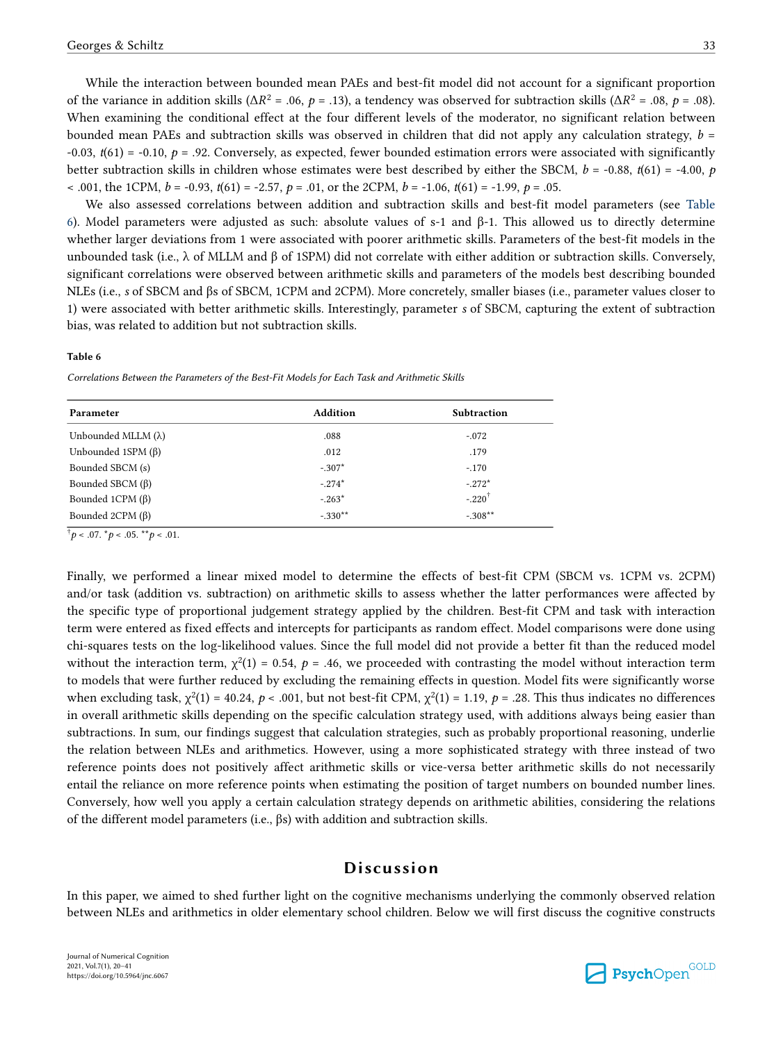While the interaction between bounded mean PAEs and best-fit model did not account for a significant proportion of the variance in addition skills ( $\Delta R^2$  = .06, *p* = .13), a tendency was observed for subtraction skills ( $\Delta R^2$  = .08, *p* = .08). When examining the conditional effect at the four different levels of the moderator, no significant relation between bounded mean PAEs and subtraction skills was observed in children that did not apply any calculation strategy, *b* =  $-0.03$ ,  $t(61) = -0.10$ ,  $p = .92$ . Conversely, as expected, fewer bounded estimation errors were associated with significantly better subtraction skills in children whose estimates were best described by either the SBCM, *b* = -0.88, *t*(61) = -4.00, *p*  < .001, the 1CPM, *b* = -0.93, *t*(61) = -2.57, *p* = .01, or the 2CPM, *b* = -1.06, *t*(61) = -1.99, *p* = .05.

We also assessed correlations between addition and subtraction skills and best-fit model parameters (see Table 6). Model parameters were adjusted as such: absolute values of s-1 and β-1. This allowed us to directly determine whether larger deviations from 1 were associated with poorer arithmetic skills. Parameters of the best-fit models in the unbounded task (i.e., λ of MLLM and β of 1SPM) did not correlate with either addition or subtraction skills. Conversely, significant correlations were observed between arithmetic skills and parameters of the models best describing bounded NLEs (i.e., *s* of SBCM and βs of SBCM, 1CPM and 2CPM). More concretely, smaller biases (i.e., parameter values closer to 1) were associated with better arithmetic skills. Interestingly, parameter *s* of SBCM, capturing the extent of subtraction bias, was related to addition but not subtraction skills.

#### **Table 6**

*Correlations Between the Parameters of the Best-Fit Models for Each Task and Arithmetic Skills*

| Parameter                  | <b>Addition</b> | <b>Subtraction</b> |
|----------------------------|-----------------|--------------------|
| Unbounded MLLM $(\lambda)$ | .088            | $-.072$            |
| Unbounded 1SPM $(\beta)$   | .012            | .179               |
| Bounded SBCM (s)           | $-.307*$        | $-.170$            |
| Bounded SBCM $(\beta)$     | $-274*$         | $-.272*$           |
| Bounded 1CPM $(\beta)$     | $-263*$         | $-220^{\dagger}$   |
| Bounded 2CPM $(\beta)$     | $-330**$        | $-.308**$          |

 $^{\dagger}p$  < .07.  $^{\star}p$  < .05.  $^{\star\star}p$  < .01.

Finally, we performed a linear mixed model to determine the effects of best-fit CPM (SBCM vs. 1CPM vs. 2CPM) and/or task (addition vs. subtraction) on arithmetic skills to assess whether the latter performances were affected by the specific type of proportional judgement strategy applied by the children. Best-fit CPM and task with interaction term were entered as fixed effects and intercepts for participants as random effect. Model comparisons were done using chi-squares tests on the log-likelihood values. Since the full model did not provide a better fit than the reduced model without the interaction term,  $\chi^2(1) = 0.54$ ,  $p = .46$ , we proceeded with contrasting the model without interaction term to models that were further reduced by excluding the remaining effects in question. Model fits were significantly worse when excluding task,  $\chi^2(1) = 40.24$ ,  $p < .001$ , but not best-fit CPM,  $\chi^2(1) = 1.19$ ,  $p = .28$ . This thus indicates no differences in overall arithmetic skills depending on the specific calculation strategy used, with additions always being easier than subtractions. In sum, our findings suggest that calculation strategies, such as probably proportional reasoning, underlie the relation between NLEs and arithmetics. However, using a more sophisticated strategy with three instead of two reference points does not positively affect arithmetic skills or vice-versa better arithmetic skills do not necessarily entail the reliance on more reference points when estimating the position of target numbers on bounded number lines. Conversely, how well you apply a certain calculation strategy depends on arithmetic abilities, considering the relations of the different model parameters (i.e., βs) with addition and subtraction skills.

# **Discussion**

In this paper, we aimed to shed further light on the cognitive mechanisms underlying the commonly observed relation between NLEs and arithmetics in older elementary school children. Below we will first discuss the cognitive constructs

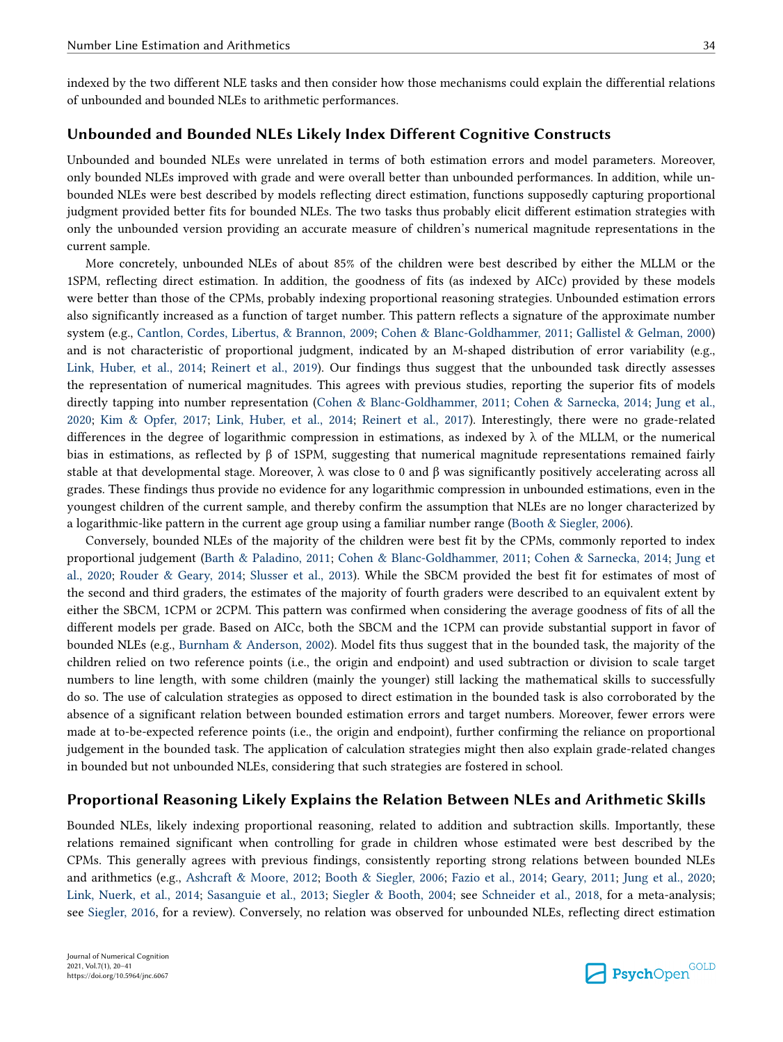indexed by the two different NLE tasks and then consider how those mechanisms could explain the differential relations of unbounded and bounded NLEs to arithmetic performances.

# **Unbounded and Bounded NLEs Likely Index Different Cognitive Constructs**

Unbounded and bounded NLEs were unrelated in terms of both estimation errors and model parameters. Moreover, only bounded NLEs improved with grade and were overall better than unbounded performances. In addition, while unbounded NLEs were best described by models reflecting direct estimation, functions supposedly capturing proportional judgment provided better fits for bounded NLEs. The two tasks thus probably elicit different estimation strategies with only the unbounded version providing an accurate measure of children's numerical magnitude representations in the current sample.

More concretely, unbounded NLEs of about 85% of the children were best described by either the MLLM or the 1SPM, reflecting direct estimation. In addition, the goodness of fits (as indexed by AICc) provided by these models were better than those of the CPMs, probably indexing proportional reasoning strategies. Unbounded estimation errors also significantly increased as a function of target number. This pattern reflects a signature of the approximate number system (e.g., [Cantlon, Cordes, Libertus, & Brannon, 2009;](#page-19-0) [Cohen & Blanc-Goldhammer, 2011](#page-19-0); [Gallistel & Gelman, 2000](#page-19-0)) and is not characteristic of proportional judgment, indicated by an M-shaped distribution of error variability (e.g., [Link, Huber, et al., 2014](#page-20-0); [Reinert et al., 2019\)](#page-20-0). Our findings thus suggest that the unbounded task directly assesses the representation of numerical magnitudes. This agrees with previous studies, reporting the superior fits of models directly tapping into number representation [\(Cohen & Blanc-Goldhammer, 2011](#page-19-0); [Cohen & Sarnecka, 2014](#page-19-0); [Jung et al.,](#page-20-0) [2020;](#page-20-0) [Kim & Opfer, 2017;](#page-20-0) [Link, Huber, et al., 2014;](#page-20-0) [Reinert et al., 2017\)](#page-20-0). Interestingly, there were no grade-related differences in the degree of logarithmic compression in estimations, as indexed by  $\lambda$  of the MLLM, or the numerical bias in estimations, as reflected by β of 1SPM, suggesting that numerical magnitude representations remained fairly stable at that developmental stage. Moreover,  $\lambda$  was close to 0 and  $\beta$  was significantly positively accelerating across all grades. These findings thus provide no evidence for any logarithmic compression in unbounded estimations, even in the youngest children of the current sample, and thereby confirm the assumption that NLEs are no longer characterized by a logarithmic-like pattern in the current age group using a familiar number range [\(Booth & Siegler, 2006\)](#page-18-0).

Conversely, bounded NLEs of the majority of the children were best fit by the CPMs, commonly reported to index proportional judgement ([Barth & Paladino, 2011;](#page-18-0) [Cohen & Blanc-Goldhammer, 2011](#page-19-0); [Cohen & Sarnecka, 2014;](#page-19-0) [Jung et](#page-20-0) [al., 2020](#page-20-0); [Rouder & Geary, 2014](#page-20-0); [Slusser et al., 2013\)](#page-21-0). While the SBCM provided the best fit for estimates of most of the second and third graders, the estimates of the majority of fourth graders were described to an equivalent extent by either the SBCM, 1CPM or 2CPM. This pattern was confirmed when considering the average goodness of fits of all the different models per grade. Based on AICc, both the SBCM and the 1CPM can provide substantial support in favor of bounded NLEs (e.g., [Burnham & Anderson, 2002](#page-18-0)). Model fits thus suggest that in the bounded task, the majority of the children relied on two reference points (i.e., the origin and endpoint) and used subtraction or division to scale target numbers to line length, with some children (mainly the younger) still lacking the mathematical skills to successfully do so. The use of calculation strategies as opposed to direct estimation in the bounded task is also corroborated by the absence of a significant relation between bounded estimation errors and target numbers. Moreover, fewer errors were made at to-be-expected reference points (i.e., the origin and endpoint), further confirming the reliance on proportional judgement in the bounded task. The application of calculation strategies might then also explain grade-related changes in bounded but not unbounded NLEs, considering that such strategies are fostered in school.

## **Proportional Reasoning Likely Explains the Relation Between NLEs and Arithmetic Skills**

Bounded NLEs, likely indexing proportional reasoning, related to addition and subtraction skills. Importantly, these relations remained significant when controlling for grade in children whose estimated were best described by the CPMs. This generally agrees with previous findings, consistently reporting strong relations between bounded NLEs and arithmetics (e.g., [Ashcraft & Moore, 2012;](#page-18-0) [Booth & Siegler, 2006;](#page-18-0) [Fazio et al., 2014;](#page-19-0) [Geary, 2011](#page-19-0); [Jung et al., 2020;](#page-20-0) [Link, Nuerk, et al., 2014;](#page-20-0) [Sasanguie et al., 2013](#page-20-0); [Siegler & Booth, 2004](#page-21-0); see [Schneider et al., 2018](#page-21-0), for a meta-analysis; see [Siegler, 2016](#page-21-0), for a review). Conversely, no relation was observed for unbounded NLEs, reflecting direct estimation

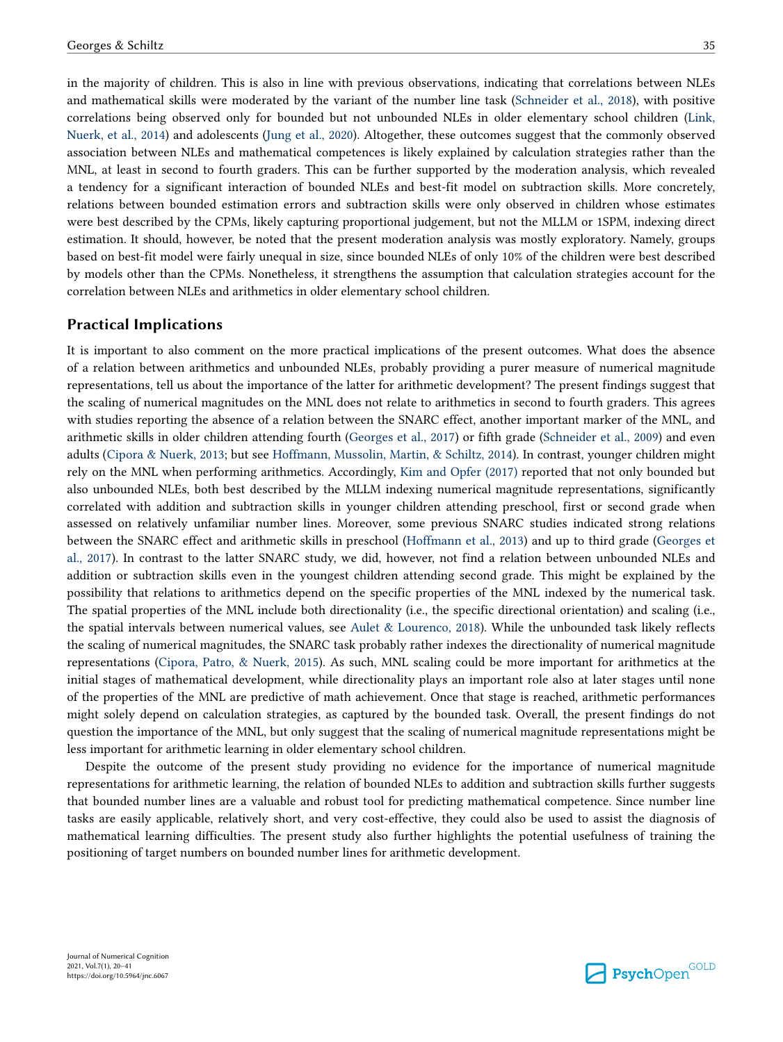in the majority of children. This is also in line with previous observations, indicating that correlations between NLEs and mathematical skills were moderated by the variant of the number line task [\(Schneider et al., 2018](#page-21-0)), with positive correlations being observed only for bounded but not unbounded NLEs in older elementary school children ([Link,](#page-20-0) [Nuerk, et al., 2014\)](#page-20-0) and adolescents ([Jung et al., 2020\)](#page-20-0). Altogether, these outcomes suggest that the commonly observed association between NLEs and mathematical competences is likely explained by calculation strategies rather than the MNL, at least in second to fourth graders. This can be further supported by the moderation analysis, which revealed a tendency for a significant interaction of bounded NLEs and best-fit model on subtraction skills. More concretely, relations between bounded estimation errors and subtraction skills were only observed in children whose estimates were best described by the CPMs, likely capturing proportional judgement, but not the MLLM or 1SPM, indexing direct estimation. It should, however, be noted that the present moderation analysis was mostly exploratory. Namely, groups based on best-fit model were fairly unequal in size, since bounded NLEs of only 10% of the children were best described by models other than the CPMs. Nonetheless, it strengthens the assumption that calculation strategies account for the correlation between NLEs and arithmetics in older elementary school children.

# **Practical Implications**

It is important to also comment on the more practical implications of the present outcomes. What does the absence of a relation between arithmetics and unbounded NLEs, probably providing a purer measure of numerical magnitude representations, tell us about the importance of the latter for arithmetic development? The present findings suggest that the scaling of numerical magnitudes on the MNL does not relate to arithmetics in second to fourth graders. This agrees with studies reporting the absence of a relation between the SNARC effect, another important marker of the MNL, and arithmetic skills in older children attending fourth ([Georges et al., 2017](#page-19-0)) or fifth grade ([Schneider et al., 2009\)](#page-20-0) and even adults [\(Cipora & Nuerk, 2013;](#page-19-0) but see [Hoffmann, Mussolin, Martin, & Schiltz, 2014\)](#page-20-0). In contrast, younger children might rely on the MNL when performing arithmetics. Accordingly, [Kim and Opfer \(2017\)](#page-20-0) reported that not only bounded but also unbounded NLEs, both best described by the MLLM indexing numerical magnitude representations, significantly correlated with addition and subtraction skills in younger children attending preschool, first or second grade when assessed on relatively unfamiliar number lines. Moreover, some previous SNARC studies indicated strong relations between the SNARC effect and arithmetic skills in preschool [\(Hoffmann et al., 2013\)](#page-19-0) and up to third grade ([Georges et](#page-19-0) [al., 2017\)](#page-19-0). In contrast to the latter SNARC study, we did, however, not find a relation between unbounded NLEs and addition or subtraction skills even in the youngest children attending second grade. This might be explained by the possibility that relations to arithmetics depend on the specific properties of the MNL indexed by the numerical task. The spatial properties of the MNL include both directionality (i.e., the specific directional orientation) and scaling (i.e., the spatial intervals between numerical values, see [Aulet & Lourenco, 2018](#page-18-0)). While the unbounded task likely reflects the scaling of numerical magnitudes, the SNARC task probably rather indexes the directionality of numerical magnitude representations ([Cipora, Patro, & Nuerk, 2015\)](#page-19-0). As such, MNL scaling could be more important for arithmetics at the initial stages of mathematical development, while directionality plays an important role also at later stages until none of the properties of the MNL are predictive of math achievement. Once that stage is reached, arithmetic performances might solely depend on calculation strategies, as captured by the bounded task. Overall, the present findings do not question the importance of the MNL, but only suggest that the scaling of numerical magnitude representations might be less important for arithmetic learning in older elementary school children.

Despite the outcome of the present study providing no evidence for the importance of numerical magnitude representations for arithmetic learning, the relation of bounded NLEs to addition and subtraction skills further suggests that bounded number lines are a valuable and robust tool for predicting mathematical competence. Since number line tasks are easily applicable, relatively short, and very cost-effective, they could also be used to assist the diagnosis of mathematical learning difficulties. The present study also further highlights the potential usefulness of training the positioning of target numbers on bounded number lines for arithmetic development.

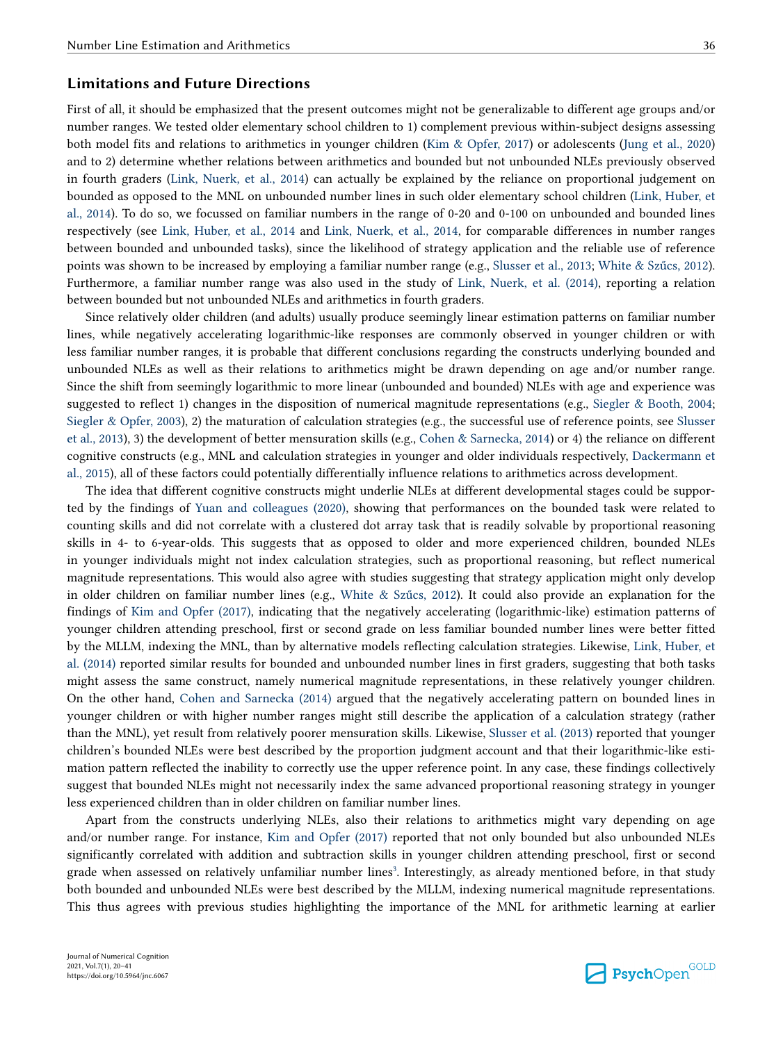## **Limitations and Future Directions**

First of all, it should be emphasized that the present outcomes might not be generalizable to different age groups and/or number ranges. We tested older elementary school children to 1) complement previous within-subject designs assessing both model fits and relations to arithmetics in younger children ([Kim & Opfer, 2017\)](#page-20-0) or adolescents [\(Jung et al., 2020](#page-20-0)) and to 2) determine whether relations between arithmetics and bounded but not unbounded NLEs previously observed in fourth graders ([Link, Nuerk, et al., 2014\)](#page-20-0) can actually be explained by the reliance on proportional judgement on bounded as opposed to the MNL on unbounded number lines in such older elementary school children ([Link, Huber, et](#page-20-0) [al., 2014](#page-20-0)). To do so, we focussed on familiar numbers in the range of 0-20 and 0-100 on unbounded and bounded lines respectively (see [Link, Huber, et al., 2014](#page-20-0) and [Link, Nuerk, et al., 2014,](#page-20-0) for comparable differences in number ranges between bounded and unbounded tasks), since the likelihood of strategy application and the reliable use of reference points was shown to be increased by employing a familiar number range (e.g., [Slusser et al., 2013](#page-21-0); [White & Szűcs, 2012](#page-21-0)). Furthermore, a familiar number range was also used in the study of [Link, Nuerk, et al. \(2014\)](#page-20-0), reporting a relation between bounded but not unbounded NLEs and arithmetics in fourth graders.

Since relatively older children (and adults) usually produce seemingly linear estimation patterns on familiar number lines, while negatively accelerating logarithmic-like responses are commonly observed in younger children or with less familiar number ranges, it is probable that different conclusions regarding the constructs underlying bounded and unbounded NLEs as well as their relations to arithmetics might be drawn depending on age and/or number range. Since the shift from seemingly logarithmic to more linear (unbounded and bounded) NLEs with age and experience was suggested to reflect 1) changes in the disposition of numerical magnitude representations (e.g., [Siegler & Booth, 2004;](#page-21-0) [Siegler & Opfer, 2003\)](#page-21-0), 2) the maturation of calculation strategies (e.g., the successful use of reference points, see [Slusser](#page-21-0) [et al., 2013](#page-21-0)), 3) the development of better mensuration skills (e.g., [Cohen & Sarnecka, 2014\)](#page-19-0) or 4) the reliance on different cognitive constructs (e.g., MNL and calculation strategies in younger and older individuals respectively, [Dackermann et](#page-19-0) [al., 2015\)](#page-19-0), all of these factors could potentially differentially influence relations to arithmetics across development.

The idea that different cognitive constructs might underlie NLEs at different developmental stages could be supported by the findings of [Yuan and colleagues \(2020\)](#page-21-0), showing that performances on the bounded task were related to counting skills and did not correlate with a clustered dot array task that is readily solvable by proportional reasoning skills in 4- to 6-year-olds. This suggests that as opposed to older and more experienced children, bounded NLEs in younger individuals might not index calculation strategies, such as proportional reasoning, but reflect numerical magnitude representations. This would also agree with studies suggesting that strategy application might only develop in older children on familiar number lines (e.g., [White & Szűcs, 2012](#page-21-0)). It could also provide an explanation for the findings of [Kim and Opfer \(2017\),](#page-20-0) indicating that the negatively accelerating (logarithmic-like) estimation patterns of younger children attending preschool, first or second grade on less familiar bounded number lines were better fitted by the MLLM, indexing the MNL, than by alternative models reflecting calculation strategies. Likewise, [Link, Huber, et](#page-20-0) [al. \(2014\)](#page-20-0) reported similar results for bounded and unbounded number lines in first graders, suggesting that both tasks might assess the same construct, namely numerical magnitude representations, in these relatively younger children. On the other hand, [Cohen and Sarnecka \(2014\)](#page-19-0) argued that the negatively accelerating pattern on bounded lines in younger children or with higher number ranges might still describe the application of a calculation strategy (rather than the MNL), yet result from relatively poorer mensuration skills. Likewise, [Slusser et al. \(2013\)](#page-21-0) reported that younger children's bounded NLEs were best described by the proportion judgment account and that their logarithmic-like estimation pattern reflected the inability to correctly use the upper reference point. In any case, these findings collectively suggest that bounded NLEs might not necessarily index the same advanced proportional reasoning strategy in younger less experienced children than in older children on familiar number lines.

Apart from the constructs underlying NLEs, also their relations to arithmetics might vary depending on age and/or number range. For instance, [Kim and Opfer \(2017\)](#page-20-0) reported that not only bounded but also unbounded NLEs significantly correlated with addition and subtraction skills in younger children attending preschool, first or second grade when assessed on relatively unfamiliar number lines<sup>[3](#page-17-0)</sup>. Interestingly, as already mentioned before, in that study both bounded and unbounded NLEs were best described by the MLLM, indexing numerical magnitude representations. This thus agrees with previous studies highlighting the importance of the MNL for arithmetic learning at earlier

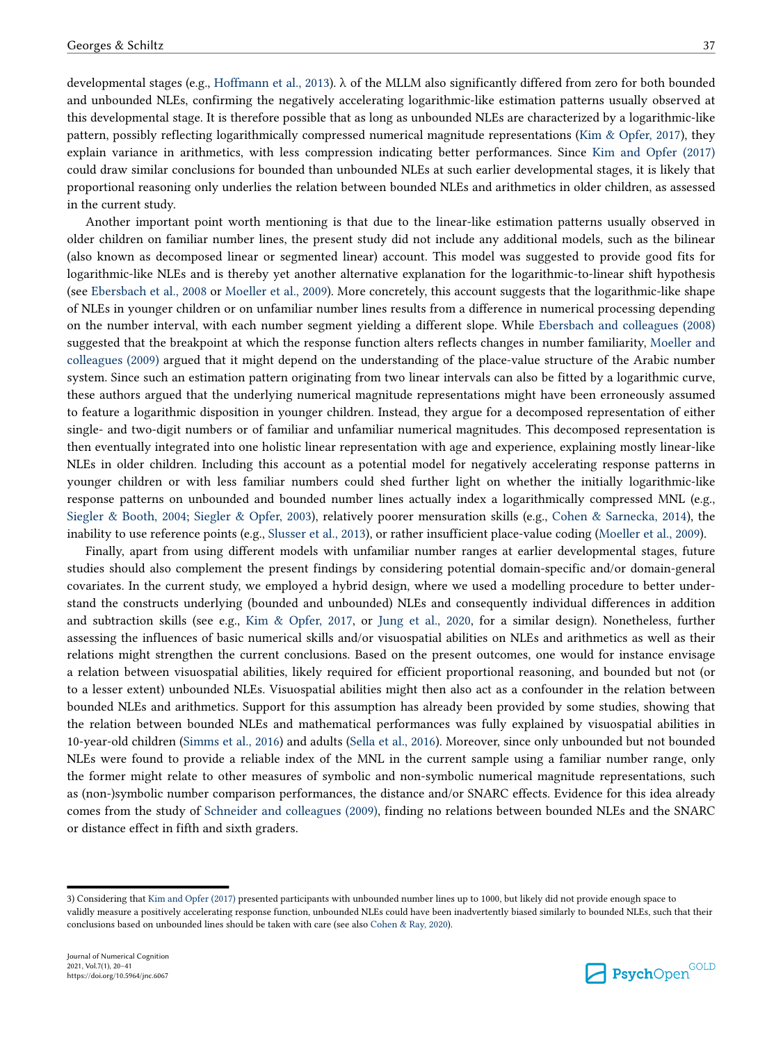<span id="page-17-0"></span>developmental stages (e.g., [Hoffmann et al., 2013\)](#page-19-0). λ of the MLLM also significantly differed from zero for both bounded and unbounded NLEs, confirming the negatively accelerating logarithmic-like estimation patterns usually observed at this developmental stage. It is therefore possible that as long as unbounded NLEs are characterized by a logarithmic-like pattern, possibly reflecting logarithmically compressed numerical magnitude representations ([Kim & Opfer, 2017\)](#page-20-0), they explain variance in arithmetics, with less compression indicating better performances. Since [Kim and Opfer \(2017\)](#page-20-0) could draw similar conclusions for bounded than unbounded NLEs at such earlier developmental stages, it is likely that proportional reasoning only underlies the relation between bounded NLEs and arithmetics in older children, as assessed in the current study.

Another important point worth mentioning is that due to the linear-like estimation patterns usually observed in older children on familiar number lines, the present study did not include any additional models, such as the bilinear (also known as decomposed linear or segmented linear) account. This model was suggested to provide good fits for logarithmic-like NLEs and is thereby yet another alternative explanation for the logarithmic-to-linear shift hypothesis (see [Ebersbach et al., 2008](#page-19-0) or [Moeller et al., 2009\)](#page-20-0). More concretely, this account suggests that the logarithmic-like shape of NLEs in younger children or on unfamiliar number lines results from a difference in numerical processing depending on the number interval, with each number segment yielding a different slope. While [Ebersbach and colleagues \(2008\)](#page-19-0) suggested that the breakpoint at which the response function alters reflects changes in number familiarity, [Moeller and](#page-20-0) [colleagues \(2009\)](#page-20-0) argued that it might depend on the understanding of the place-value structure of the Arabic number system. Since such an estimation pattern originating from two linear intervals can also be fitted by a logarithmic curve, these authors argued that the underlying numerical magnitude representations might have been erroneously assumed to feature a logarithmic disposition in younger children. Instead, they argue for a decomposed representation of either single- and two-digit numbers or of familiar and unfamiliar numerical magnitudes. This decomposed representation is then eventually integrated into one holistic linear representation with age and experience, explaining mostly linear-like NLEs in older children. Including this account as a potential model for negatively accelerating response patterns in younger children or with less familiar numbers could shed further light on whether the initially logarithmic-like response patterns on unbounded and bounded number lines actually index a logarithmically compressed MNL (e.g., [Siegler & Booth, 2004;](#page-21-0) [Siegler & Opfer, 2003\)](#page-21-0), relatively poorer mensuration skills (e.g., [Cohen & Sarnecka, 2014\)](#page-19-0), the inability to use reference points (e.g., [Slusser et al., 2013](#page-21-0)), or rather insufficient place-value coding ([Moeller et al., 2009\)](#page-20-0).

Finally, apart from using different models with unfamiliar number ranges at earlier developmental stages, future studies should also complement the present findings by considering potential domain-specific and/or domain-general covariates. In the current study, we employed a hybrid design, where we used a modelling procedure to better understand the constructs underlying (bounded and unbounded) NLEs and consequently individual differences in addition and subtraction skills (see e.g., [Kim & Opfer, 2017](#page-20-0), or [Jung et al., 2020](#page-20-0), for a similar design). Nonetheless, further assessing the influences of basic numerical skills and/or visuospatial abilities on NLEs and arithmetics as well as their relations might strengthen the current conclusions. Based on the present outcomes, one would for instance envisage a relation between visuospatial abilities, likely required for efficient proportional reasoning, and bounded but not (or to a lesser extent) unbounded NLEs. Visuospatial abilities might then also act as a confounder in the relation between bounded NLEs and arithmetics. Support for this assumption has already been provided by some studies, showing that the relation between bounded NLEs and mathematical performances was fully explained by visuospatial abilities in 10-year-old children ([Simms et al., 2016\)](#page-21-0) and adults [\(Sella et al., 2016](#page-21-0)). Moreover, since only unbounded but not bounded NLEs were found to provide a reliable index of the MNL in the current sample using a familiar number range, only the former might relate to other measures of symbolic and non-symbolic numerical magnitude representations, such as (non-)symbolic number comparison performances, the distance and/or SNARC effects. Evidence for this idea already comes from the study of [Schneider and colleagues \(2009\)](#page-20-0), finding no relations between bounded NLEs and the SNARC or distance effect in fifth and sixth graders.



<sup>3)</sup> Considering that [Kim and Opfer \(2017\)](#page-20-0) presented participants with unbounded number lines up to 1000, but likely did not provide enough space to validly measure a positively accelerating response function, unbounded NLEs could have been inadvertently biased similarly to bounded NLEs, such that their conclusions based on unbounded lines should be taken with care (see also [Cohen & Ray, 2020\)](#page-19-0).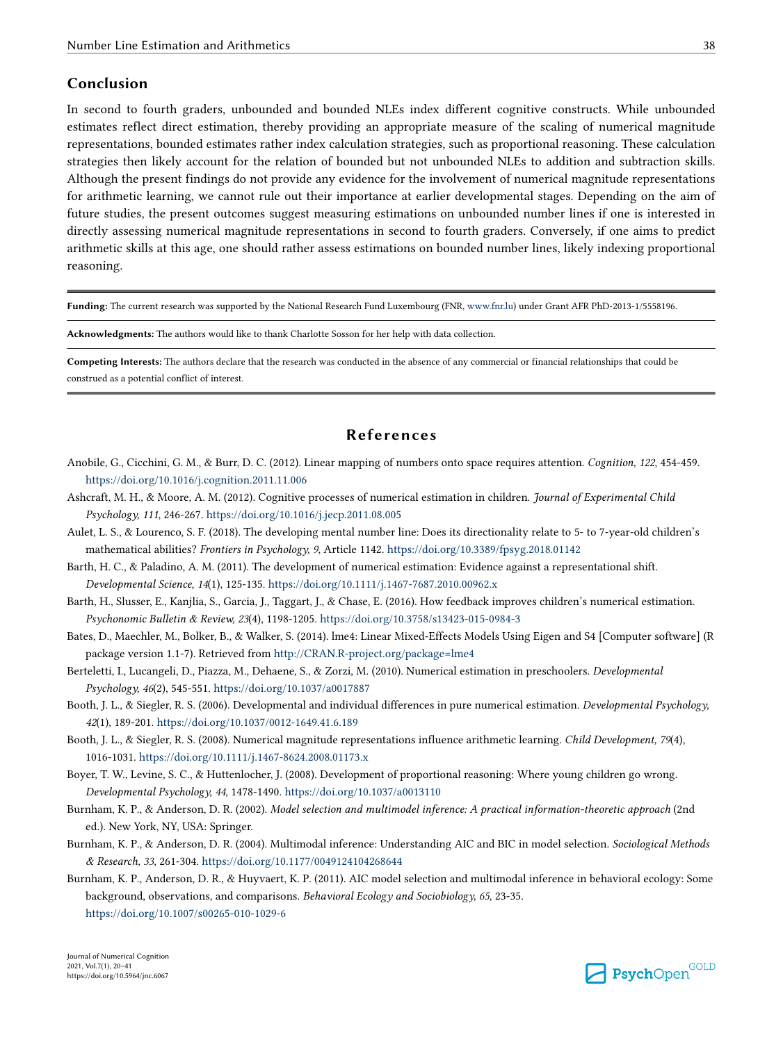### <span id="page-18-0"></span>**Conclusion**

In second to fourth graders, unbounded and bounded NLEs index different cognitive constructs. While unbounded estimates reflect direct estimation, thereby providing an appropriate measure of the scaling of numerical magnitude representations, bounded estimates rather index calculation strategies, such as proportional reasoning. These calculation strategies then likely account for the relation of bounded but not unbounded NLEs to addition and subtraction skills. Although the present findings do not provide any evidence for the involvement of numerical magnitude representations for arithmetic learning, we cannot rule out their importance at earlier developmental stages. Depending on the aim of future studies, the present outcomes suggest measuring estimations on unbounded number lines if one is interested in directly assessing numerical magnitude representations in second to fourth graders. Conversely, if one aims to predict arithmetic skills at this age, one should rather assess estimations on bounded number lines, likely indexing proportional reasoning.

**Funding:** The current research was supported by the National Research Fund Luxembourg (FNR, [www.fnr.lu\)](http://www.fnr.lu) under Grant AFR PhD-2013-1/5558196.

**Acknowledgments:** The authors would like to thank Charlotte Sosson for her help with data collection.

**Competing Interests:** The authors declare that the research was conducted in the absence of any commercial or financial relationships that could be construed as a potential conflict of interest.

# **References**

- Anobile, G., Cicchini, G. M., & Burr, D. C. (2012). Linear mapping of numbers onto space requires attention. *Cognition, 122*, 454-459. <https://doi.org/10.1016/j.cognition.2011.11.006>
- Ashcraft, M. H., & Moore, A. M. (2012). Cognitive processes of numerical estimation in children. *Journal of Experimental Child Psychology, 111*, 246-267.<https://doi.org/10.1016/j.jecp.2011.08.005>
- Aulet, L. S., & Lourenco, S. F. (2018). The developing mental number line: Does its directionality relate to 5- to 7-year-old children's mathematical abilities? *Frontiers in Psychology, 9*, Article 1142. <https://doi.org/10.3389/fpsyg.2018.01142>
- Barth, H. C., & Paladino, A. M. (2011). The development of numerical estimation: Evidence against a representational shift. *Developmental Science, 14*(1), 125-135.<https://doi.org/10.1111/j.1467-7687.2010.00962.x>
- Barth, H., Slusser, E., Kanjlia, S., Garcia, J., Taggart, J., & Chase, E. (2016). How feedback improves children's numerical estimation. *Psychonomic Bulletin & Review, 23*(4), 1198-1205. <https://doi.org/10.3758/s13423-015-0984-3>
- Bates, D., Maechler, M., Bolker, B., & Walker, S. (2014). lme4: Linear Mixed-Effects Models Using Eigen and S4 [Computer software] (R package version 1.1-7). Retrieved from<http://CRAN.R-project.org/package=lme4>
- Berteletti, I., Lucangeli, D., Piazza, M., Dehaene, S., & Zorzi, M. (2010). Numerical estimation in preschoolers. *Developmental Psychology, 46*(2), 545-551. <https://doi.org/10.1037/a0017887>
- Booth, J. L., & Siegler, R. S. (2006). Developmental and individual differences in pure numerical estimation. *Developmental Psychology, 42*(1), 189-201.<https://doi.org/10.1037/0012-1649.41.6.189>
- Booth, J. L., & Siegler, R. S. (2008). Numerical magnitude representations influence arithmetic learning. *Child Development, 79*(4), 1016-1031. <https://doi.org/10.1111/j.1467-8624.2008.01173.x>
- Boyer, T. W., Levine, S. C., & Huttenlocher, J. (2008). Development of proportional reasoning: Where young children go wrong. *Developmental Psychology, 44*, 1478-1490. <https://doi.org/10.1037/a0013110>
- Burnham, K. P., & Anderson, D. R. (2002). *Model selection and multimodel inference: A practical information-theoretic approach* (2nd ed.). New York, NY, USA: Springer.
- Burnham, K. P., & Anderson, D. R. (2004). Multimodal inference: Understanding AIC and BIC in model selection. *Sociological Methods & Research, 33*, 261-304. <https://doi.org/10.1177/0049124104268644>
- Burnham, K. P., Anderson, D. R., & Huyvaert, K. P. (2011). AIC model selection and multimodal inference in behavioral ecology: Some background, observations, and comparisons. *Behavioral Ecology and Sociobiology, 65*, 23-35. <https://doi.org/10.1007/s00265-010-1029-6>

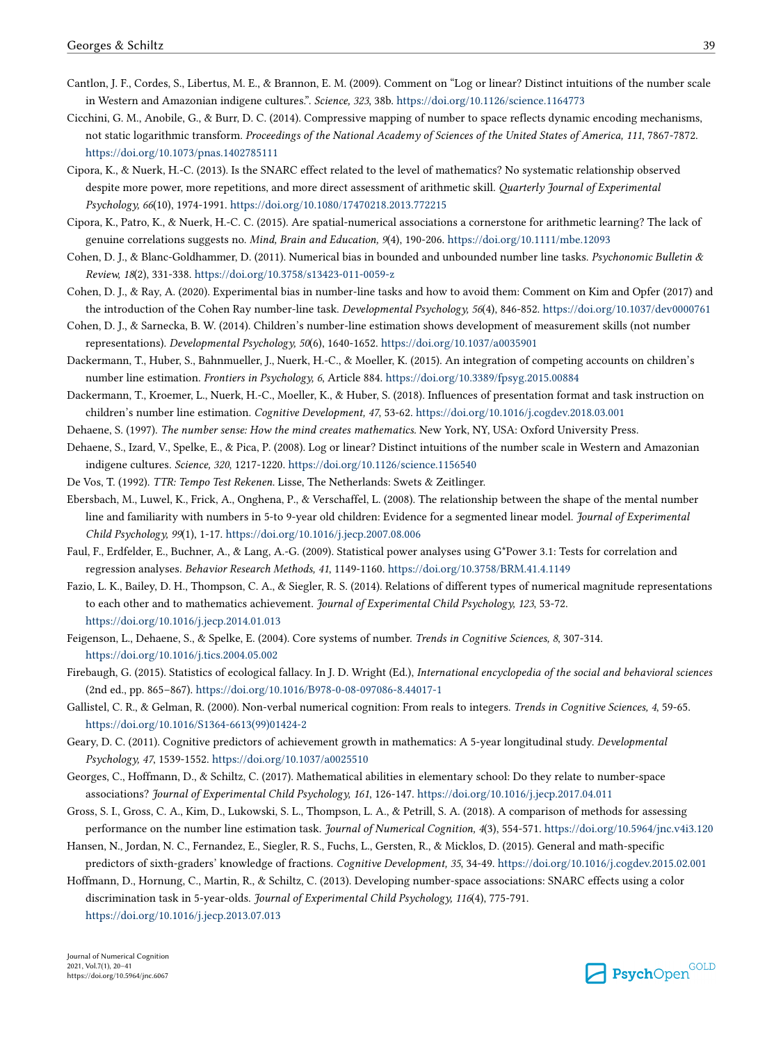- <span id="page-19-0"></span>Cantlon, J. F., Cordes, S., Libertus, M. E., & Brannon, E. M. (2009). Comment on "Log or linear? Distinct intuitions of the number scale in Western and Amazonian indigene cultures.". *Science, 323*, 38b. <https://doi.org/10.1126/science.1164773>
- Cicchini, G. M., Anobile, G., & Burr, D. C. (2014). Compressive mapping of number to space reflects dynamic encoding mechanisms, not static logarithmic transform. *Proceedings of the National Academy of Sciences of the United States of America, 111*, 7867-7872. <https://doi.org/10.1073/pnas.1402785111>
- Cipora, K., & Nuerk, H.-C. (2013). Is the SNARC effect related to the level of mathematics? No systematic relationship observed despite more power, more repetitions, and more direct assessment of arithmetic skill. *Quarterly Journal of Experimental Psychology, 66*(10), 1974-1991.<https://doi.org/10.1080/17470218.2013.772215>
- Cipora, K., Patro, K., & Nuerk, H.-C. C. (2015). Are spatial-numerical associations a cornerstone for arithmetic learning? The lack of genuine correlations suggests no. *Mind, Brain and Education, 9*(4), 190-206. <https://doi.org/10.1111/mbe.12093>
- Cohen, D. J., & Blanc-Goldhammer, D. (2011). Numerical bias in bounded and unbounded number line tasks. *Psychonomic Bulletin & Review, 18*(2), 331-338.<https://doi.org/10.3758/s13423-011-0059-z>
- Cohen, D. J., & Ray, A. (2020). Experimental bias in number-line tasks and how to avoid them: Comment on Kim and Opfer (2017) and the introduction of the Cohen Ray number-line task. *Developmental Psychology, 56*(4), 846-852.<https://doi.org/10.1037/dev0000761>
- Cohen, D. J., & Sarnecka, B. W. (2014). Children's number-line estimation shows development of measurement skills (not number representations). *Developmental Psychology, 50*(6), 1640-1652. <https://doi.org/10.1037/a0035901>
- Dackermann, T., Huber, S., Bahnmueller, J., Nuerk, H.-C., & Moeller, K. (2015). An integration of competing accounts on children's number line estimation. *Frontiers in Psychology, 6*, Article 884. <https://doi.org/10.3389/fpsyg.2015.00884>
- Dackermann, T., Kroemer, L., Nuerk, H.-C., Moeller, K., & Huber, S. (2018). Influences of presentation format and task instruction on children's number line estimation. *Cognitive Development, 47*, 53-62.<https://doi.org/10.1016/j.cogdev.2018.03.001>
- Dehaene, S. (1997). *The number sense: How the mind creates mathematics.* New York, NY, USA: Oxford University Press.
- Dehaene, S., Izard, V., Spelke, E., & Pica, P. (2008). Log or linear? Distinct intuitions of the number scale in Western and Amazonian indigene cultures. *Science, 320*, 1217-1220.<https://doi.org/10.1126/science.1156540>
- De Vos, T. (1992). *TTR: Tempo Test Rekenen.* Lisse, The Netherlands: Swets & Zeitlinger.
- Ebersbach, M., Luwel, K., Frick, A., Onghena, P., & Verschaffel, L. (2008). The relationship between the shape of the mental number line and familiarity with numbers in 5-to 9-year old children: Evidence for a segmented linear model. *Journal of Experimental Child Psychology, 99*(1), 1-17. <https://doi.org/10.1016/j.jecp.2007.08.006>
- Faul, F., Erdfelder, E., Buchner, A., & Lang, A.-G. (2009). Statistical power analyses using G\*Power 3.1: Tests for correlation and regression analyses. *Behavior Research Methods, 41*, 1149-1160.<https://doi.org/10.3758/BRM.41.4.1149>
- Fazio, L. K., Bailey, D. H., Thompson, C. A., & Siegler, R. S. (2014). Relations of different types of numerical magnitude representations to each other and to mathematics achievement. *Journal of Experimental Child Psychology, 123*, 53-72. <https://doi.org/10.1016/j.jecp.2014.01.013>
- Feigenson, L., Dehaene, S., & Spelke, E. (2004). Core systems of number. *Trends in Cognitive Sciences, 8*, 307-314. <https://doi.org/10.1016/j.tics.2004.05.002>
- Firebaugh, G. (2015). Statistics of ecological fallacy. In J. D. Wright (Ed.), *International encyclopedia of the social and behavioral sciences*  (2nd ed., pp. 865–867).<https://doi.org/10.1016/B978-0-08-097086-8.44017-1>
- Gallistel, C. R., & Gelman, R. (2000). Non-verbal numerical cognition: From reals to integers. *Trends in Cognitive Sciences, 4*, 59-65. [https://doi.org/10.1016/S1364-6613\(99\)01424-2](https://doi.org/10.1016/S1364-6613(99)01424-2)
- Geary, D. C. (2011). Cognitive predictors of achievement growth in mathematics: A 5-year longitudinal study. *Developmental Psychology, 47*, 1539-1552.<https://doi.org/10.1037/a0025510>
- Georges, C., Hoffmann, D., & Schiltz, C. (2017). Mathematical abilities in elementary school: Do they relate to number-space associations? *Journal of Experimental Child Psychology, 161*, 126-147. <https://doi.org/10.1016/j.jecp.2017.04.011>
- Gross, S. I., Gross, C. A., Kim, D., Lukowski, S. L., Thompson, L. A., & Petrill, S. A. (2018). A comparison of methods for assessing performance on the number line estimation task. *Journal of Numerical Cognition, 4*(3), 554-571.<https://doi.org/10.5964/jnc.v4i3.120>
- Hansen, N., Jordan, N. C., Fernandez, E., Siegler, R. S., Fuchs, L., Gersten, R., & Micklos, D. (2015). General and math-specific predictors of sixth-graders' knowledge of fractions. *Cognitive Development, 35*, 34-49. <https://doi.org/10.1016/j.cogdev.2015.02.001>
- Hoffmann, D., Hornung, C., Martin, R., & Schiltz, C. (2013). Developing number-space associations: SNARC effects using a color discrimination task in 5-year-olds. *Journal of Experimental Child Psychology, 116*(4), 775-791. <https://doi.org/10.1016/j.jecp.2013.07.013>

Journal of Numerical Cognition 2021, Vol.7(1), 20–41 https://doi.org/10.5964/jnc.6067

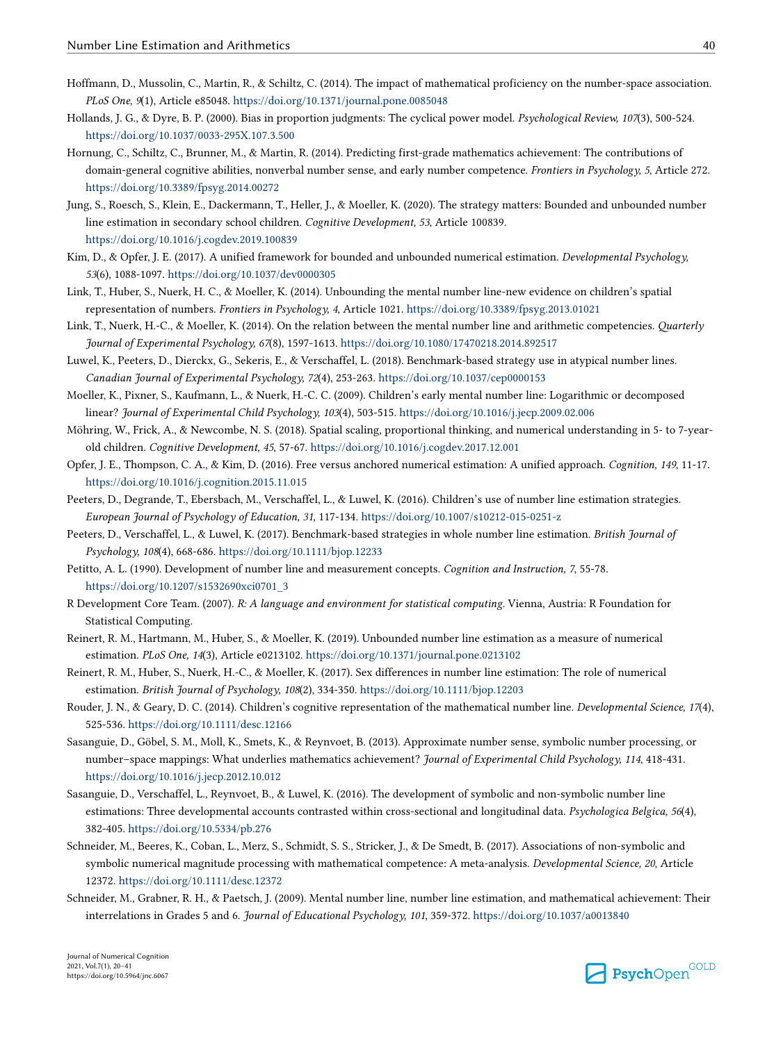- <span id="page-20-0"></span>Hoffmann, D., Mussolin, C., Martin, R., & Schiltz, C. (2014). The impact of mathematical proficiency on the number-space association. *PLoS One, 9*(1), Article e85048.<https://doi.org/10.1371/journal.pone.0085048>
- Hollands, J. G., & Dyre, B. P. (2000). Bias in proportion judgments: The cyclical power model. *Psychological Review, 107*(3), 500-524. <https://doi.org/10.1037/0033-295X.107.3.500>
- Hornung, C., Schiltz, C., Brunner, M., & Martin, R. (2014). Predicting first-grade mathematics achievement: The contributions of domain-general cognitive abilities, nonverbal number sense, and early number competence. *Frontiers in Psychology, 5*, Article 272. <https://doi.org/10.3389/fpsyg.2014.00272>
- Jung, S., Roesch, S., Klein, E., Dackermann, T., Heller, J., & Moeller, K. (2020). The strategy matters: Bounded and unbounded number line estimation in secondary school children. *Cognitive Development, 53*, Article 100839. <https://doi.org/10.1016/j.cogdev.2019.100839>
- Kim, D., & Opfer, J. E. (2017). A unified framework for bounded and unbounded numerical estimation. *Developmental Psychology, 53*(6), 1088-1097. <https://doi.org/10.1037/dev0000305>
- Link, T., Huber, S., Nuerk, H. C., & Moeller, K. (2014). Unbounding the mental number line-new evidence on children's spatial representation of numbers. *Frontiers in Psychology, 4*, Article 1021.<https://doi.org/10.3389/fpsyg.2013.01021>
- Link, T., Nuerk, H.-C., & Moeller, K. (2014). On the relation between the mental number line and arithmetic competencies. *Quarterly Journal of Experimental Psychology, 67*(8), 1597-1613.<https://doi.org/10.1080/17470218.2014.892517>
- Luwel, K., Peeters, D., Dierckx, G., Sekeris, E., & Verschaffel, L. (2018). Benchmark-based strategy use in atypical number lines. *Canadian Journal of Experimental Psychology, 72*(4), 253-263.<https://doi.org/10.1037/cep0000153>
- Moeller, K., Pixner, S., Kaufmann, L., & Nuerk, H.-C. C. (2009). Children's early mental number line: Logarithmic or decomposed linear? *Journal of Experimental Child Psychology, 103*(4), 503-515. <https://doi.org/10.1016/j.jecp.2009.02.006>
- Möhring, W., Frick, A., & Newcombe, N. S. (2018). Spatial scaling, proportional thinking, and numerical understanding in 5- to 7-yearold children. *Cognitive Development, 45*, 57-67.<https://doi.org/10.1016/j.cogdev.2017.12.001>
- Opfer, J. E., Thompson, C. A., & Kim, D. (2016). Free versus anchored numerical estimation: A unified approach. *Cognition, 149*, 11-17. <https://doi.org/10.1016/j.cognition.2015.11.015>
- Peeters, D., Degrande, T., Ebersbach, M., Verschaffel, L., & Luwel, K. (2016). Children's use of number line estimation strategies. *European Journal of Psychology of Education, 31*, 117-134. <https://doi.org/10.1007/s10212-015-0251-z>
- Peeters, D., Verschaffel, L., & Luwel, K. (2017). Benchmark-based strategies in whole number line estimation. *British Journal of Psychology, 108*(4), 668-686. <https://doi.org/10.1111/bjop.12233>
- Petitto, A. L. (1990). Development of number line and measurement concepts. *Cognition and Instruction, 7*, 55-78. [https://doi.org/10.1207/s1532690xci0701\\_3](https://doi.org/10.1207/s1532690xci0701_3)
- R Development Core Team. (2007). *R: A language and environment for statistical computing.* Vienna, Austria: R Foundation for Statistical Computing.
- Reinert, R. M., Hartmann, M., Huber, S., & Moeller, K. (2019). Unbounded number line estimation as a measure of numerical estimation. *PLoS One, 14*(3), Article e0213102. <https://doi.org/10.1371/journal.pone.0213102>
- Reinert, R. M., Huber, S., Nuerk, H.-C., & Moeller, K. (2017). Sex differences in number line estimation: The role of numerical estimation. *British Journal of Psychology, 108*(2), 334-350.<https://doi.org/10.1111/bjop.12203>
- Rouder, J. N., & Geary, D. C. (2014). Children's cognitive representation of the mathematical number line. *Developmental Science, 17*(4), 525-536. <https://doi.org/10.1111/desc.12166>
- Sasanguie, D., Göbel, S. M., Moll, K., Smets, K., & Reynvoet, B. (2013). Approximate number sense, symbolic number processing, or number–space mappings: What underlies mathematics achievement? *Journal of Experimental Child Psychology, 114*, 418-431. <https://doi.org/10.1016/j.jecp.2012.10.012>
- Sasanguie, D., Verschaffel, L., Reynvoet, B., & Luwel, K. (2016). The development of symbolic and non-symbolic number line estimations: Three developmental accounts contrasted within cross-sectional and longitudinal data. *Psychologica Belgica, 56*(4), 382-405. <https://doi.org/10.5334/pb.276>
- Schneider, M., Beeres, K., Coban, L., Merz, S., Schmidt, S. S., Stricker, J., & De Smedt, B. (2017). Associations of non-symbolic and symbolic numerical magnitude processing with mathematical competence: A meta-analysis. *Developmental Science, 20*, Article 12372.<https://doi.org/10.1111/desc.12372>
- Schneider, M., Grabner, R. H., & Paetsch, J. (2009). Mental number line, number line estimation, and mathematical achievement: Their interrelations in Grades 5 and 6. *Journal of Educational Psychology, 101*, 359-372.<https://doi.org/10.1037/a0013840>